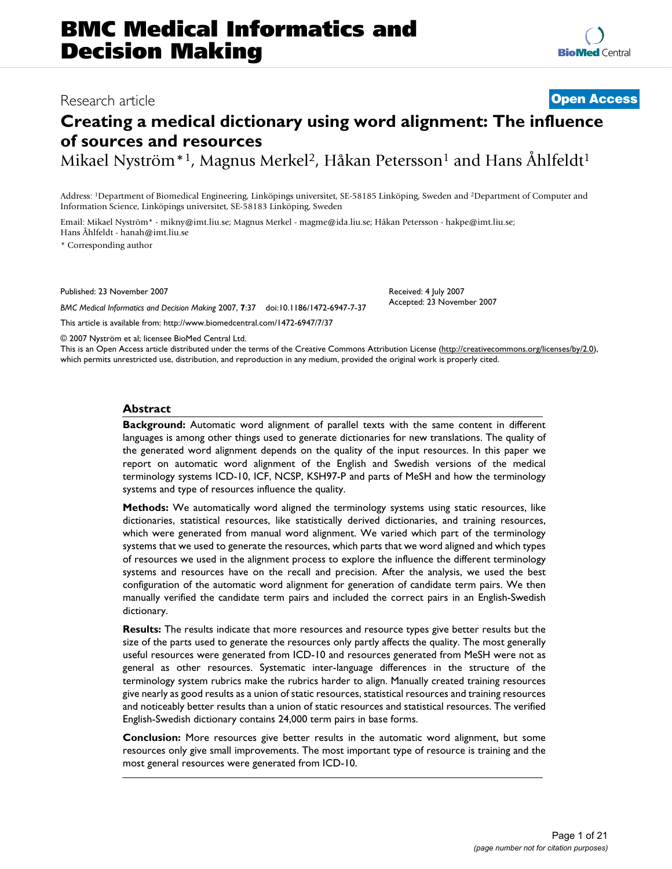# **Creating a medical dictionary using word alignment: The influence of sources and resources**

Mikael Nyström<sup>\*1</sup>, Magnus Merkel<sup>2</sup>, Håkan Petersson<sup>1</sup> and Hans Åhlfeldt<sup>1</sup>

Address: 1Department of Biomedical Engineering, Linköpings universitet, SE-58185 Linköping, Sweden and 2Department of Computer and Information Science, Linköpings universitet, SE-58183 Linköping, Sweden

Email: Mikael Nyström\* - mikny@imt.liu.se; Magnus Merkel - magme@ida.liu.se; Håkan Petersson - hakpe@imt.liu.se; Hans Åhlfeldt - hanah@imt.liu.se

\* Corresponding author

Published: 23 November 2007

*BMC Medical Informatics and Decision Making* 2007, **7**:37 doi:10.1186/1472-6947-7-37

[This article is available from: http://www.biomedcentral.com/1472-6947/7/37](http://www.biomedcentral.com/1472-6947/7/37)

© 2007 Nyström et al; licensee BioMed Central Ltd.

This is an Open Access article distributed under the terms of the Creative Commons Attribution License [\(http://creativecommons.org/licenses/by/2.0\)](http://creativecommons.org/licenses/by/2.0), which permits unrestricted use, distribution, and reproduction in any medium, provided the original work is properly cited.

### **Abstract**

**Background:** Automatic word alignment of parallel texts with the same content in different languages is among other things used to generate dictionaries for new translations. The quality of the generated word alignment depends on the quality of the input resources. In this paper we report on automatic word alignment of the English and Swedish versions of the medical terminology systems ICD-10, ICF, NCSP, KSH97-P and parts of MeSH and how the terminology systems and type of resources influence the quality.

**Methods:** We automatically word aligned the terminology systems using static resources, like dictionaries, statistical resources, like statistically derived dictionaries, and training resources, which were generated from manual word alignment. We varied which part of the terminology systems that we used to generate the resources, which parts that we word aligned and which types of resources we used in the alignment process to explore the influence the different terminology systems and resources have on the recall and precision. After the analysis, we used the best configuration of the automatic word alignment for generation of candidate term pairs. We then manually verified the candidate term pairs and included the correct pairs in an English-Swedish dictionary.

**Results:** The results indicate that more resources and resource types give better results but the size of the parts used to generate the resources only partly affects the quality. The most generally useful resources were generated from ICD-10 and resources generated from MeSH were not as general as other resources. Systematic inter-language differences in the structure of the terminology system rubrics make the rubrics harder to align. Manually created training resources give nearly as good results as a union of static resources, statistical resources and training resources and noticeably better results than a union of static resources and statistical resources. The verified English-Swedish dictionary contains 24,000 term pairs in base forms.

**Conclusion:** More resources give better results in the automatic word alignment, but some resources only give small improvements. The most important type of resource is training and the most general resources were generated from ICD-10.

Received: 4 July 2007 Accepted: 23 November 2007

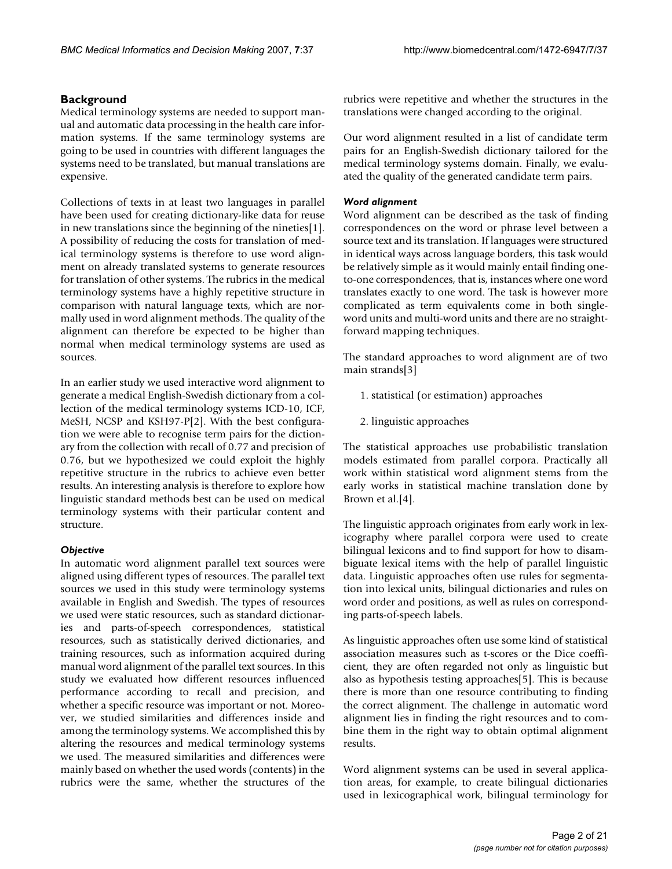### **Background**

Medical terminology systems are needed to support manual and automatic data processing in the health care information systems. If the same terminology systems are going to be used in countries with different languages the systems need to be translated, but manual translations are expensive.

Collections of texts in at least two languages in parallel have been used for creating dictionary-like data for reuse in new translations since the beginning of the nineties[1]. A possibility of reducing the costs for translation of medical terminology systems is therefore to use word alignment on already translated systems to generate resources for translation of other systems. The rubrics in the medical terminology systems have a highly repetitive structure in comparison with natural language texts, which are normally used in word alignment methods. The quality of the alignment can therefore be expected to be higher than normal when medical terminology systems are used as sources.

In an earlier study we used interactive word alignment to generate a medical English-Swedish dictionary from a collection of the medical terminology systems ICD-10, ICF, MeSH, NCSP and KSH97-P[2]. With the best configuration we were able to recognise term pairs for the dictionary from the collection with recall of 0.77 and precision of 0.76, but we hypothesized we could exploit the highly repetitive structure in the rubrics to achieve even better results. An interesting analysis is therefore to explore how linguistic standard methods best can be used on medical terminology systems with their particular content and structure.

### *Objective*

In automatic word alignment parallel text sources were aligned using different types of resources. The parallel text sources we used in this study were terminology systems available in English and Swedish. The types of resources we used were static resources, such as standard dictionaries and parts-of-speech correspondences, statistical resources, such as statistically derived dictionaries, and training resources, such as information acquired during manual word alignment of the parallel text sources. In this study we evaluated how different resources influenced performance according to recall and precision, and whether a specific resource was important or not. Moreover, we studied similarities and differences inside and among the terminology systems. We accomplished this by altering the resources and medical terminology systems we used. The measured similarities and differences were mainly based on whether the used words (contents) in the rubrics were the same, whether the structures of the rubrics were repetitive and whether the structures in the translations were changed according to the original.

Our word alignment resulted in a list of candidate term pairs for an English-Swedish dictionary tailored for the medical terminology systems domain. Finally, we evaluated the quality of the generated candidate term pairs.

### *Word alignment*

Word alignment can be described as the task of finding correspondences on the word or phrase level between a source text and its translation. If languages were structured in identical ways across language borders, this task would be relatively simple as it would mainly entail finding oneto-one correspondences, that is, instances where one word translates exactly to one word. The task is however more complicated as term equivalents come in both singleword units and multi-word units and there are no straightforward mapping techniques.

The standard approaches to word alignment are of two main strands[3]

- 1. statistical (or estimation) approaches
- 2. linguistic approaches

The statistical approaches use probabilistic translation models estimated from parallel corpora. Practically all work within statistical word alignment stems from the early works in statistical machine translation done by Brown et al.[4].

The linguistic approach originates from early work in lexicography where parallel corpora were used to create bilingual lexicons and to find support for how to disambiguate lexical items with the help of parallel linguistic data. Linguistic approaches often use rules for segmentation into lexical units, bilingual dictionaries and rules on word order and positions, as well as rules on corresponding parts-of-speech labels.

As linguistic approaches often use some kind of statistical association measures such as t-scores or the Dice coefficient, they are often regarded not only as linguistic but also as hypothesis testing approaches[5]. This is because there is more than one resource contributing to finding the correct alignment. The challenge in automatic word alignment lies in finding the right resources and to combine them in the right way to obtain optimal alignment results.

Word alignment systems can be used in several application areas, for example, to create bilingual dictionaries used in lexicographical work, bilingual terminology for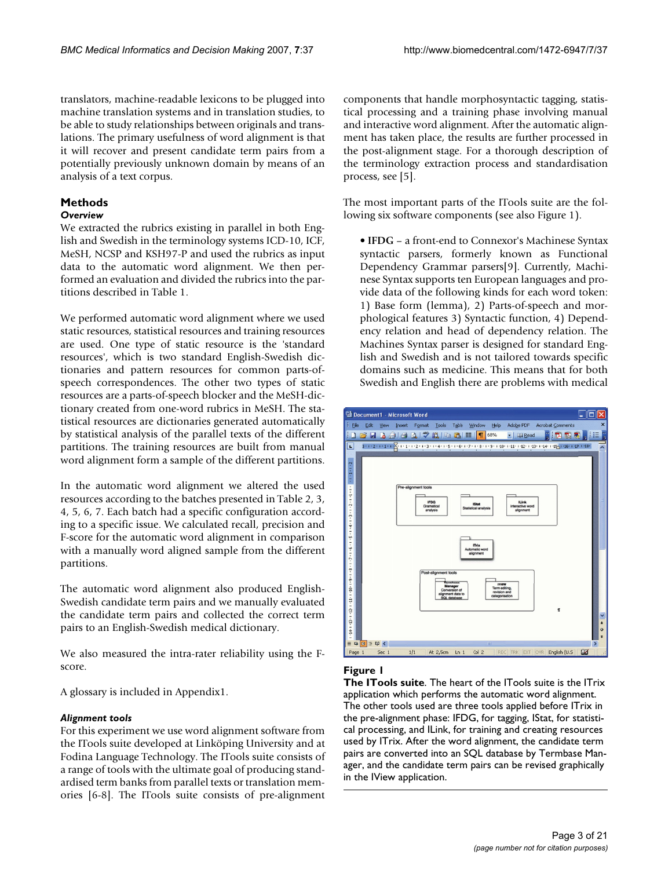translators, machine-readable lexicons to be plugged into machine translation systems and in translation studies, to be able to study relationships between originals and translations. The primary usefulness of word alignment is that it will recover and present candidate term pairs from a potentially previously unknown domain by means of an analysis of a text corpus.

## **Methods**

### *Overview*

We extracted the rubrics existing in parallel in both English and Swedish in the terminology systems ICD-10, ICF, MeSH, NCSP and KSH97-P and used the rubrics as input data to the automatic word alignment. We then performed an evaluation and divided the rubrics into the partitions described in Table 1.

We performed automatic word alignment where we used static resources, statistical resources and training resources are used. One type of static resource is the 'standard resources', which is two standard English-Swedish dictionaries and pattern resources for common parts-ofspeech correspondences. The other two types of static resources are a parts-of-speech blocker and the MeSH-dictionary created from one-word rubrics in MeSH. The statistical resources are dictionaries generated automatically by statistical analysis of the parallel texts of the different partitions. The training resources are built from manual word alignment form a sample of the different partitions.

In the automatic word alignment we altered the used resources according to the batches presented in Table 2, 3, 4, 5, 6, 7. Each batch had a specific configuration according to a specific issue. We calculated recall, precision and F-score for the automatic word alignment in comparison with a manually word aligned sample from the different partitions.

The automatic word alignment also produced English-Swedish candidate term pairs and we manually evaluated the candidate term pairs and collected the correct term pairs to an English-Swedish medical dictionary.

We also measured the intra-rater reliability using the Fscore.

A glossary is included in Appendix1.

### *Alignment tools*

For this experiment we use word alignment software from the ITools suite developed at Linköping University and at Fodina Language Technology. The ITools suite consists of a range of tools with the ultimate goal of producing standardised term banks from parallel texts or translation memories [6-8]. The ITools suite consists of pre-alignment

components that handle morphosyntactic tagging, statistical processing and a training phase involving manual and interactive word alignment. After the automatic alignment has taken place, the results are further processed in the post-alignment stage. For a thorough description of the terminology extraction process and standardisation process, see [5].

The most important parts of the ITools suite are the following six software components (see also Figure 1).

• **IFDG** – a front-end to Connexor's Machinese Syntax syntactic parsers, formerly known as Functional Dependency Grammar parsers[9]. Currently, Machinese Syntax supports ten European languages and provide data of the following kinds for each word token: 1) Base form (lemma), 2) Parts-of-speech and morphological features 3) Syntactic function, 4) Dependency relation and head of dependency relation. The Machines Syntax parser is designed for standard English and Swedish and is not tailored towards specific domains such as medicine. This means that for both Swedish and English there are problems with medical



### **Figure 1**

**The ITools suite**. The heart of the ITools suite is the ITrix application which performs the automatic word alignment. The other tools used are three tools applied before ITrix in the pre-alignment phase: IFDG, for tagging, IStat, for statistical processing, and ILink, for training and creating resources used by ITrix. After the word alignment, the candidate term pairs are converted into an SQL database by Termbase Manager, and the candidate term pairs can be revised graphically in the IView application.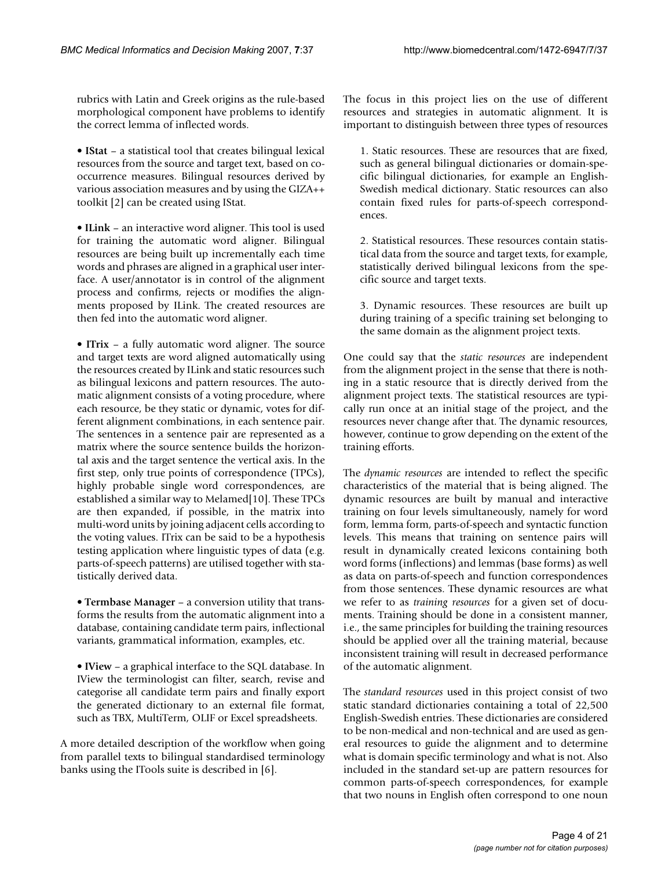rubrics with Latin and Greek origins as the rule-based morphological component have problems to identify the correct lemma of inflected words.

• **IStat** – a statistical tool that creates bilingual lexical resources from the source and target text, based on cooccurrence measures. Bilingual resources derived by various association measures and by using the GIZA++ toolkit [2] can be created using IStat.

• **ILink** – an interactive word aligner. This tool is used for training the automatic word aligner. Bilingual resources are being built up incrementally each time words and phrases are aligned in a graphical user interface. A user/annotator is in control of the alignment process and confirms, rejects or modifies the alignments proposed by ILink. The created resources are then fed into the automatic word aligner.

• **ITrix** – a fully automatic word aligner. The source and target texts are word aligned automatically using the resources created by ILink and static resources such as bilingual lexicons and pattern resources. The automatic alignment consists of a voting procedure, where each resource, be they static or dynamic, votes for different alignment combinations, in each sentence pair. The sentences in a sentence pair are represented as a matrix where the source sentence builds the horizontal axis and the target sentence the vertical axis. In the first step, only true points of correspondence (TPCs), highly probable single word correspondences, are established a similar way to Melamed[10]. These TPCs are then expanded, if possible, in the matrix into multi-word units by joining adjacent cells according to the voting values. ITrix can be said to be a hypothesis testing application where linguistic types of data (e.g. parts-of-speech patterns) are utilised together with statistically derived data.

• **Termbase Manager** – a conversion utility that transforms the results from the automatic alignment into a database, containing candidate term pairs, inflectional variants, grammatical information, examples, etc.

• **IView** – a graphical interface to the SQL database. In IView the terminologist can filter, search, revise and categorise all candidate term pairs and finally export the generated dictionary to an external file format, such as TBX, MultiTerm, OLIF or Excel spreadsheets.

A more detailed description of the workflow when going from parallel texts to bilingual standardised terminology banks using the ITools suite is described in [6].

The focus in this project lies on the use of different resources and strategies in automatic alignment. It is important to distinguish between three types of resources

1. Static resources. These are resources that are fixed, such as general bilingual dictionaries or domain-specific bilingual dictionaries, for example an English-Swedish medical dictionary. Static resources can also contain fixed rules for parts-of-speech correspondences.

2. Statistical resources. These resources contain statistical data from the source and target texts, for example, statistically derived bilingual lexicons from the specific source and target texts.

3. Dynamic resources. These resources are built up during training of a specific training set belonging to the same domain as the alignment project texts.

One could say that the *static resources* are independent from the alignment project in the sense that there is nothing in a static resource that is directly derived from the alignment project texts. The statistical resources are typically run once at an initial stage of the project, and the resources never change after that. The dynamic resources, however, continue to grow depending on the extent of the training efforts.

The *dynamic resources* are intended to reflect the specific characteristics of the material that is being aligned. The dynamic resources are built by manual and interactive training on four levels simultaneously, namely for word form, lemma form, parts-of-speech and syntactic function levels. This means that training on sentence pairs will result in dynamically created lexicons containing both word forms (inflections) and lemmas (base forms) as well as data on parts-of-speech and function correspondences from those sentences. These dynamic resources are what we refer to as *training resources* for a given set of documents. Training should be done in a consistent manner, i.e., the same principles for building the training resources should be applied over all the training material, because inconsistent training will result in decreased performance of the automatic alignment.

The *standard resources* used in this project consist of two static standard dictionaries containing a total of 22,500 English-Swedish entries. These dictionaries are considered to be non-medical and non-technical and are used as general resources to guide the alignment and to determine what is domain specific terminology and what is not. Also included in the standard set-up are pattern resources for common parts-of-speech correspondences, for example that two nouns in English often correspond to one noun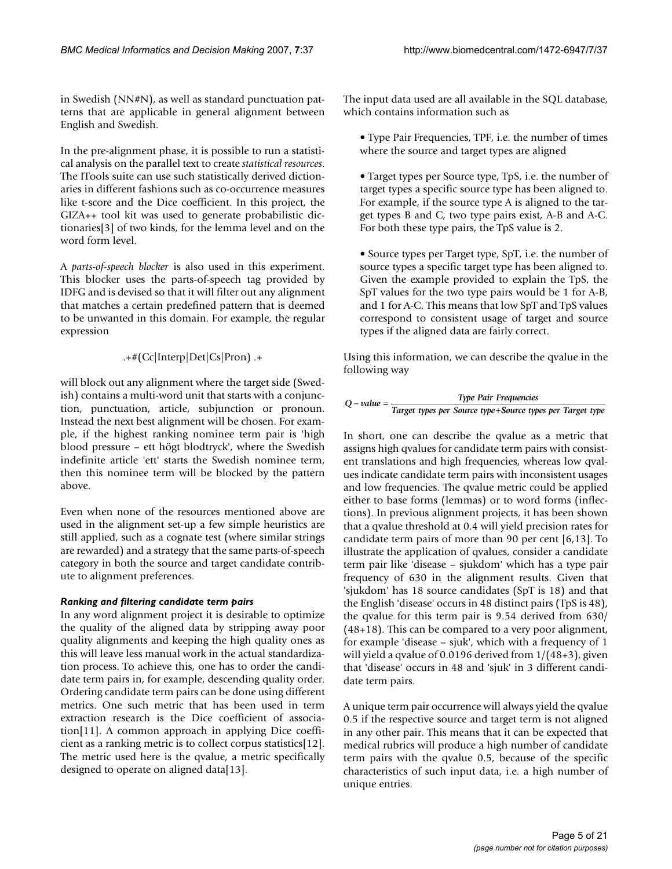in Swedish (NN#N), as well as standard punctuation patterns that are applicable in general alignment between English and Swedish.

In the pre-alignment phase, it is possible to run a statistical analysis on the parallel text to create *statistical resources*. The ITools suite can use such statistically derived dictionaries in different fashions such as co-occurrence measures like t-score and the Dice coefficient. In this project, the GIZA++ tool kit was used to generate probabilistic dictionaries[3] of two kinds, for the lemma level and on the word form level.

A *parts-of-speech blocker* is also used in this experiment. This blocker uses the parts-of-speech tag provided by IDFG and is devised so that it will filter out any alignment that matches a certain predefined pattern that is deemed to be unwanted in this domain. For example, the regular expression

$$
. +\#(Cc|Interp|Det|Cs|Pron) .+
$$

will block out any alignment where the target side (Swedish) contains a multi-word unit that starts with a conjunction, punctuation, article, subjunction or pronoun. Instead the next best alignment will be chosen. For example, if the highest ranking nominee term pair is 'high blood pressure – ett högt blodtryck', where the Swedish indefinite article 'ett' starts the Swedish nominee term, then this nominee term will be blocked by the pattern above.

Even when none of the resources mentioned above are used in the alignment set-up a few simple heuristics are still applied, such as a cognate test (where similar strings are rewarded) and a strategy that the same parts-of-speech category in both the source and target candidate contribute to alignment preferences.

### *Ranking and filtering candidate term pairs*

In any word alignment project it is desirable to optimize the quality of the aligned data by stripping away poor quality alignments and keeping the high quality ones as this will leave less manual work in the actual standardization process. To achieve this, one has to order the candidate term pairs in, for example, descending quality order. Ordering candidate term pairs can be done using different metrics. One such metric that has been used in term extraction research is the Dice coefficient of association[11]. A common approach in applying Dice coefficient as a ranking metric is to collect corpus statistics[12]. The metric used here is the qvalue, a metric specifically designed to operate on aligned data[13].

The input data used are all available in the SQL database, which contains information such as

- Type Pair Frequencies, TPF, i.e. the number of times where the source and target types are aligned
- Target types per Source type, TpS, i.e. the number of target types a specific source type has been aligned to. For example, if the source type A is aligned to the target types B and C, two type pairs exist, A-B and A-C. For both these type pairs, the TpS value is 2.

• Source types per Target type, SpT, i.e. the number of source types a specific target type has been aligned to. Given the example provided to explain the TpS, the SpT values for the two type pairs would be 1 for A-B, and 1 for A-C. This means that low SpT and TpS values correspond to consistent usage of target and source types if the aligned data are fairly correct.

Using this information, we can describe the qvalue in the following way

$$
Q-value = \frac{Type \space Pair \space Frequencies}{Target \space type \space source \space type+Source \space type \space per \space Target \space type}
$$

In short, one can describe the qvalue as a metric that assigns high qvalues for candidate term pairs with consistent translations and high frequencies, whereas low qvalues indicate candidate term pairs with inconsistent usages and low frequencies. The qvalue metric could be applied either to base forms (lemmas) or to word forms (inflections). In previous alignment projects, it has been shown that a qvalue threshold at 0.4 will yield precision rates for candidate term pairs of more than 90 per cent [6,13]. To illustrate the application of qvalues, consider a candidate term pair like 'disease – sjukdom' which has a type pair frequency of 630 in the alignment results. Given that 'sjukdom' has 18 source candidates (SpT is 18) and that the English 'disease' occurs in 48 distinct pairs (TpS is 48), the qvalue for this term pair is 9.54 derived from 630/ (48+18). This can be compared to a very poor alignment, for example 'disease – sjuk', which with a frequency of 1 will yield a qvalue of 0.0196 derived from 1/(48+3), given that 'disease' occurs in 48 and 'sjuk' in 3 different candidate term pairs.

A unique term pair occurrence will always yield the qvalue 0.5 if the respective source and target term is not aligned in any other pair. This means that it can be expected that medical rubrics will produce a high number of candidate term pairs with the qvalue 0.5, because of the specific characteristics of such input data, i.e. a high number of unique entries.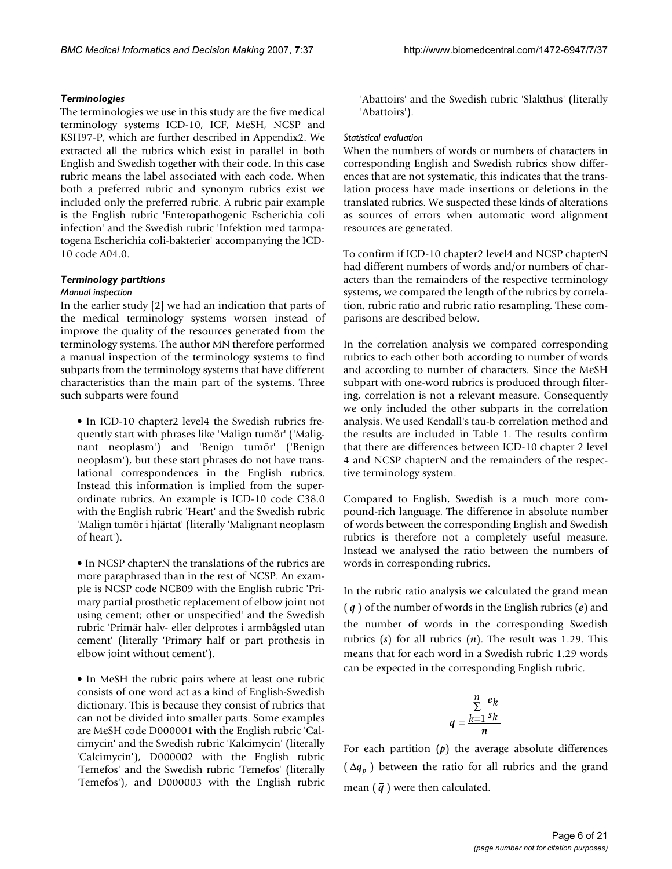#### *Terminologies*

The terminologies we use in this study are the five medical terminology systems ICD-10, ICF, MeSH, NCSP and KSH97-P, which are further described in Appendix2. We extracted all the rubrics which exist in parallel in both English and Swedish together with their code. In this case rubric means the label associated with each code. When both a preferred rubric and synonym rubrics exist we included only the preferred rubric. A rubric pair example is the English rubric 'Enteropathogenic Escherichia coli infection' and the Swedish rubric 'Infektion med tarmpatogena Escherichia coli-bakterier' accompanying the ICD-10 code A04.0.

#### *Terminology partitions*

### *Manual inspection*

In the earlier study [2] we had an indication that parts of the medical terminology systems worsen instead of improve the quality of the resources generated from the terminology systems. The author MN therefore performed a manual inspection of the terminology systems to find subparts from the terminology systems that have different characteristics than the main part of the systems. Three such subparts were found

• In ICD-10 chapter2 level4 the Swedish rubrics frequently start with phrases like 'Malign tumör' ('Malignant neoplasm') and 'Benign tumör' ('Benign neoplasm'), but these start phrases do not have translational correspondences in the English rubrics. Instead this information is implied from the superordinate rubrics. An example is ICD-10 code C38.0 with the English rubric 'Heart' and the Swedish rubric 'Malign tumör i hjärtat' (literally 'Malignant neoplasm of heart').

• In NCSP chapterN the translations of the rubrics are more paraphrased than in the rest of NCSP. An example is NCSP code NCB09 with the English rubric 'Primary partial prosthetic replacement of elbow joint not using cement; other or unspecified' and the Swedish rubric 'Primär halv- eller delprotes i armbågsled utan cement' (literally 'Primary half or part prothesis in elbow joint without cement').

• In MeSH the rubric pairs where at least one rubric consists of one word act as a kind of English-Swedish dictionary. This is because they consist of rubrics that can not be divided into smaller parts. Some examples are MeSH code D000001 with the English rubric 'Calcimycin' and the Swedish rubric 'Kalcimycin' (literally 'Calcimycin'), D000002 with the English rubric 'Temefos' and the Swedish rubric 'Temefos' (literally 'Temefos'), and D000003 with the English rubric 'Abattoirs' and the Swedish rubric 'Slakthus' (literally 'Abattoirs').

### *Statistical evaluation*

When the numbers of words or numbers of characters in corresponding English and Swedish rubrics show differences that are not systematic, this indicates that the translation process have made insertions or deletions in the translated rubrics. We suspected these kinds of alterations as sources of errors when automatic word alignment resources are generated.

To confirm if ICD-10 chapter2 level4 and NCSP chapterN had different numbers of words and/or numbers of characters than the remainders of the respective terminology systems, we compared the length of the rubrics by correlation, rubric ratio and rubric ratio resampling. These comparisons are described below.

In the correlation analysis we compared corresponding rubrics to each other both according to number of words and according to number of characters. Since the MeSH subpart with one-word rubrics is produced through filtering, correlation is not a relevant measure. Consequently we only included the other subparts in the correlation analysis. We used Kendall's tau-b correlation method and the results are included in Table 1. The results confirm that there are differences between ICD-10 chapter 2 level 4 and NCSP chapterN and the remainders of the respective terminology system.

Compared to English, Swedish is a much more compound-rich language. The difference in absolute number of words between the corresponding English and Swedish rubrics is therefore not a completely useful measure. Instead we analysed the ratio between the numbers of words in corresponding rubrics.

In the rubric ratio analysis we calculated the grand mean  $\left(\frac{\overline{q}}{q}\right)$  of the number of words in the English rubrics  $\left(e\right)$  and the number of words in the corresponding Swedish rubrics (*s*) for all rubrics (*n*). The result was 1.29. This means that for each word in a Swedish rubric 1.29 words can be expected in the corresponding English rubric.

$$
\overline{q} = \frac{\sum_{k=1}^{n} \frac{e_k}{s_k}}{n}
$$

For each partition (*p*) the average absolute differences  $(\Delta q_p)$  between the ratio for all rubrics and the grand mean  $(\bar{q})$  were then calculated.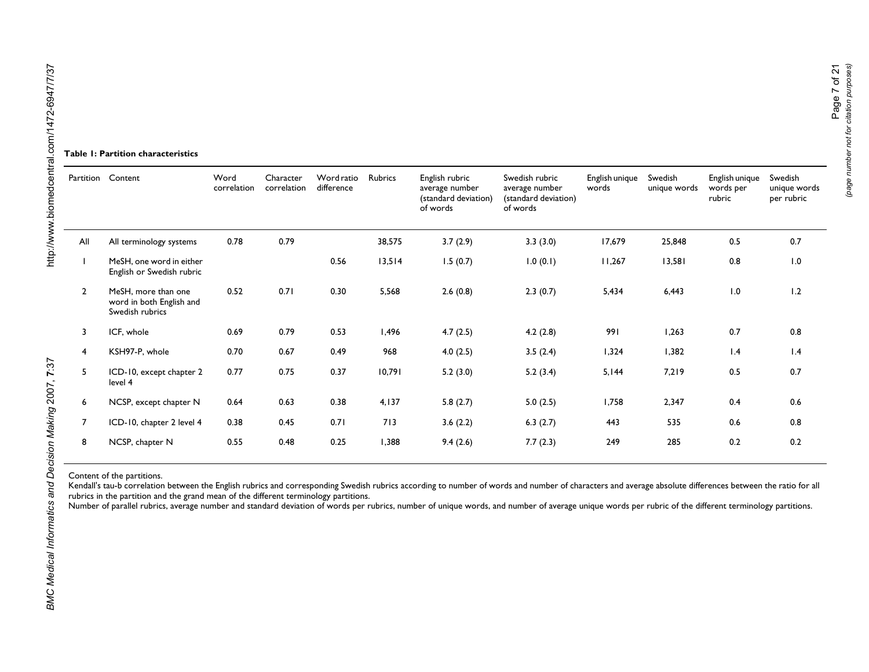#### **Table 1: Partition characteristics**

| Partition Content |                                                                    | Word<br>correlation | Character<br>correlation | Word ratio<br>difference | <b>Rubrics</b> | English rubric<br>average number<br>(standard deviation)<br>of words | Swedish rubric<br>average number<br>(standard deviation)<br>of words | English unique<br>words | Swedish<br>unique words | English unique<br>words per<br>rubric | Swedish<br>unique words<br>per rubric |
|-------------------|--------------------------------------------------------------------|---------------------|--------------------------|--------------------------|----------------|----------------------------------------------------------------------|----------------------------------------------------------------------|-------------------------|-------------------------|---------------------------------------|---------------------------------------|
| All               | All terminology systems                                            | 0.78                | 0.79                     |                          | 38,575         | 3.7(2.9)                                                             | 3.3(3.0)                                                             | 17,679                  | 25,848                  | 0.5                                   | 0.7                                   |
|                   | MeSH, one word in either<br>English or Swedish rubric              |                     |                          | 0.56                     | 13,514         | 1.5(0.7)                                                             | 1.0(0.1)                                                             | 11,267                  | 13,581                  | 0.8                                   | 1.0                                   |
| $\overline{2}$    | MeSH, more than one<br>word in both English and<br>Swedish rubrics | 0.52                | 0.71                     | 0.30                     | 5,568          | 2.6(0.8)                                                             | 2.3(0.7)                                                             | 5,434                   | 6,443                   | 1.0                                   | 1.2                                   |
| 3                 | ICF, whole                                                         | 0.69                | 0.79                     | 0.53                     | 1,496          | 4.7(2.5)                                                             | 4.2(2.8)                                                             | 991                     | 1,263                   | 0.7                                   | 0.8                                   |
| 4                 | KSH97-P, whole                                                     | 0.70                | 0.67                     | 0.49                     | 968            | 4.0(2.5)                                                             | 3.5(2.4)                                                             | 1,324                   | 1,382                   | 1.4                                   | 1.4                                   |
| 5                 | ICD-10, except chapter 2<br>level 4                                | 0.77                | 0.75                     | 0.37                     | 10,791         | 5.2(3.0)                                                             | 5.2(3.4)                                                             | 5,144                   | 7,219                   | 0.5                                   | 0.7                                   |
| 6                 | NCSP, except chapter N                                             | 0.64                | 0.63                     | 0.38                     | 4,137          | 5.8(2.7)                                                             | 5.0(2.5)                                                             | 1,758                   | 2,347                   | 0.4                                   | 0.6                                   |
| $\mathcal{I}$     | ICD-10, chapter 2 level 4                                          | 0.38                | 0.45                     | 0.71                     | 713            | 3.6(2.2)                                                             | 6.3(2.7)                                                             | 443                     | 535                     | 0.6                                   | 0.8                                   |
| 8                 | NCSP, chapter N                                                    | 0.55                | 0.48                     | 0.25                     | 1,388          | 9.4(2.6)                                                             | 7.7(2.3)                                                             | 249                     | 285                     | 0.2                                   | 0.2                                   |

Content of the partitions.

Kendall's tau-b correlation between the English rubrics and corresponding Swedish rubrics according to number of words and number of characters and average absolute differences between the ratio for all rubrics in the partition and the grand mean of the different terminology partitions.

Number of parallel rubrics, average number and standard deviation of words per rubrics, number of unique words, and number of average unique words per rubric of the different terminology partitions.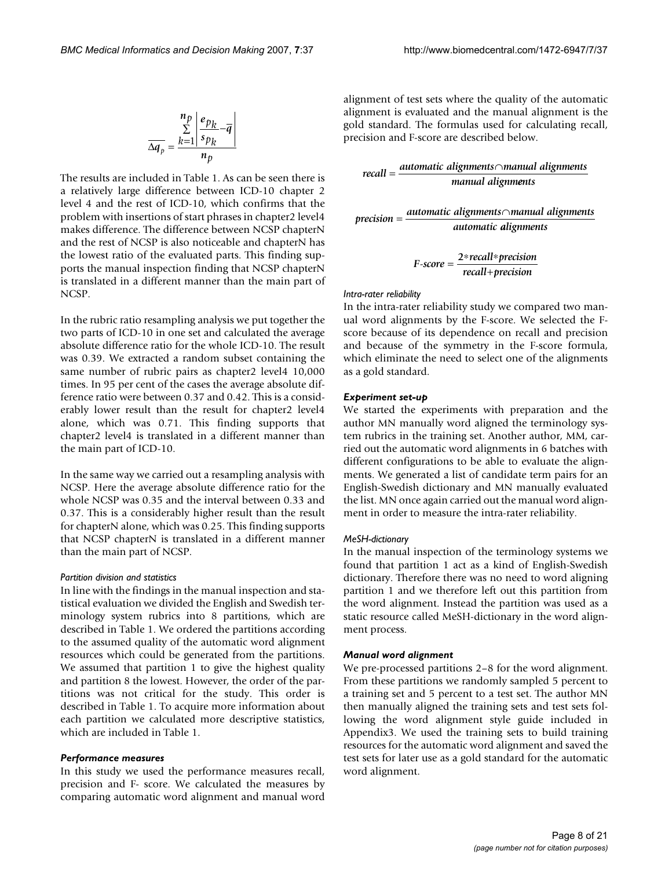$$
\frac{\sum\limits_{k=1}^{n_p} \left| \frac{e_{pk}}{s_{pk}} - \overline{q} \right|}{n_p}
$$

The results are included in Table 1. As can be seen there is a relatively large difference between ICD-10 chapter 2 level 4 and the rest of ICD-10, which confirms that the problem with insertions of start phrases in chapter2 level4 makes difference. The difference between NCSP chapterN and the rest of NCSP is also noticeable and chapterN has the lowest ratio of the evaluated parts. This finding supports the manual inspection finding that NCSP chapterN is translated in a different manner than the main part of NCSP.

In the rubric ratio resampling analysis we put together the two parts of ICD-10 in one set and calculated the average absolute difference ratio for the whole ICD-10. The result was 0.39. We extracted a random subset containing the same number of rubric pairs as chapter2 level4 10,000 times. In 95 per cent of the cases the average absolute difference ratio were between 0.37 and 0.42. This is a considerably lower result than the result for chapter2 level4 alone, which was 0.71. This finding supports that chapter2 level4 is translated in a different manner than the main part of ICD-10.

In the same way we carried out a resampling analysis with NCSP. Here the average absolute difference ratio for the whole NCSP was 0.35 and the interval between 0.33 and 0.37. This is a considerably higher result than the result for chapterN alone, which was 0.25. This finding supports that NCSP chapterN is translated in a different manner than the main part of NCSP.

#### *Partition division and statistics*

In line with the findings in the manual inspection and statistical evaluation we divided the English and Swedish terminology system rubrics into 8 partitions, which are described in Table 1. We ordered the partitions according to the assumed quality of the automatic word alignment resources which could be generated from the partitions. We assumed that partition 1 to give the highest quality and partition 8 the lowest. However, the order of the partitions was not critical for the study. This order is described in Table 1. To acquire more information about each partition we calculated more descriptive statistics, which are included in Table 1.

#### *Performance measures*

In this study we used the performance measures recall, precision and F- score. We calculated the measures by comparing automatic word alignment and manual word alignment of test sets where the quality of the automatic alignment is evaluated and the manual alignment is the gold standard. The formulas used for calculating recall, precision and F-score are described below.

*recall* = <u>automatic alignments∩manual alignments</u><br>manual alignments manual alignments

*precision* = <u>*automatic alignments∩manual alignments*</u><br>automatic alignments *alignments*

$$
F-score = \frac{2*recall*precision}{recall+precision}
$$

#### *Intra-rater reliability*

In the intra-rater reliability study we compared two manual word alignments by the F-score. We selected the Fscore because of its dependence on recall and precision and because of the symmetry in the F-score formula, which eliminate the need to select one of the alignments as a gold standard.

#### *Experiment set-up*

We started the experiments with preparation and the author MN manually word aligned the terminology system rubrics in the training set. Another author, MM, carried out the automatic word alignments in 6 batches with different configurations to be able to evaluate the alignments. We generated a list of candidate term pairs for an English-Swedish dictionary and MN manually evaluated the list. MN once again carried out the manual word alignment in order to measure the intra-rater reliability.

#### *MeSH-dictionary*

In the manual inspection of the terminology systems we found that partition 1 act as a kind of English-Swedish dictionary. Therefore there was no need to word aligning partition 1 and we therefore left out this partition from the word alignment. Instead the partition was used as a static resource called MeSH-dictionary in the word alignment process.

#### *Manual word alignment*

We pre-processed partitions 2–8 for the word alignment. From these partitions we randomly sampled 5 percent to a training set and 5 percent to a test set. The author MN then manually aligned the training sets and test sets following the word alignment style guide included in Appendix3. We used the training sets to build training resources for the automatic word alignment and saved the test sets for later use as a gold standard for the automatic word alignment.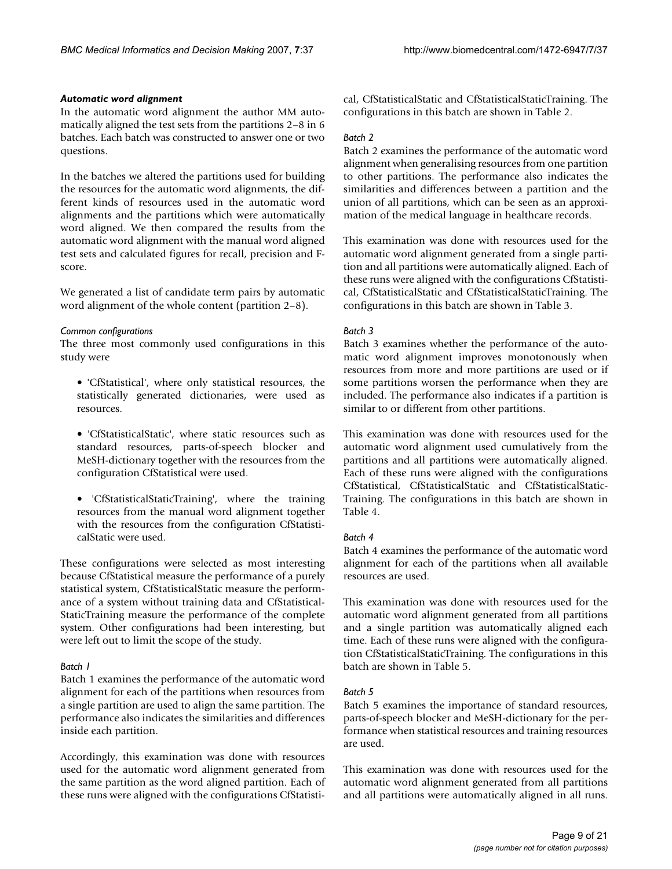### *Automatic word alignment*

In the automatic word alignment the author MM automatically aligned the test sets from the partitions 2–8 in 6 batches. Each batch was constructed to answer one or two questions.

In the batches we altered the partitions used for building the resources for the automatic word alignments, the different kinds of resources used in the automatic word alignments and the partitions which were automatically word aligned. We then compared the results from the automatic word alignment with the manual word aligned test sets and calculated figures for recall, precision and Fscore.

We generated a list of candidate term pairs by automatic word alignment of the whole content (partition 2–8).

### *Common configurations*

The three most commonly used configurations in this study were

- 'CfStatistical', where only statistical resources, the statistically generated dictionaries, were used as resources.
- 'CfStatisticalStatic', where static resources such as standard resources, parts-of-speech blocker and MeSH-dictionary together with the resources from the configuration CfStatistical were used.
- 'CfStatisticalStaticTraining', where the training resources from the manual word alignment together with the resources from the configuration CfStatisticalStatic were used.

These configurations were selected as most interesting because CfStatistical measure the performance of a purely statistical system, CfStatisticalStatic measure the performance of a system without training data and CfStatistical-StaticTraining measure the performance of the complete system. Other configurations had been interesting, but were left out to limit the scope of the study.

### *Batch 1*

Batch 1 examines the performance of the automatic word alignment for each of the partitions when resources from a single partition are used to align the same partition. The performance also indicates the similarities and differences inside each partition.

Accordingly, this examination was done with resources used for the automatic word alignment generated from the same partition as the word aligned partition. Each of these runs were aligned with the configurations CfStatistical, CfStatisticalStatic and CfStatisticalStaticTraining. The configurations in this batch are shown in Table 2.

### *Batch 2*

Batch 2 examines the performance of the automatic word alignment when generalising resources from one partition to other partitions. The performance also indicates the similarities and differences between a partition and the union of all partitions, which can be seen as an approximation of the medical language in healthcare records.

This examination was done with resources used for the automatic word alignment generated from a single partition and all partitions were automatically aligned. Each of these runs were aligned with the configurations CfStatistical, CfStatisticalStatic and CfStatisticalStaticTraining. The configurations in this batch are shown in Table 3.

### *Batch 3*

Batch 3 examines whether the performance of the automatic word alignment improves monotonously when resources from more and more partitions are used or if some partitions worsen the performance when they are included. The performance also indicates if a partition is similar to or different from other partitions.

This examination was done with resources used for the automatic word alignment used cumulatively from the partitions and all partitions were automatically aligned. Each of these runs were aligned with the configurations CfStatistical, CfStatisticalStatic and CfStatisticalStatic-Training. The configurations in this batch are shown in Table 4.

### *Batch 4*

Batch 4 examines the performance of the automatic word alignment for each of the partitions when all available resources are used.

This examination was done with resources used for the automatic word alignment generated from all partitions and a single partition was automatically aligned each time. Each of these runs were aligned with the configuration CfStatisticalStaticTraining. The configurations in this batch are shown in Table 5.

### *Batch 5*

Batch 5 examines the importance of standard resources, parts-of-speech blocker and MeSH-dictionary for the performance when statistical resources and training resources are used.

This examination was done with resources used for the automatic word alignment generated from all partitions and all partitions were automatically aligned in all runs.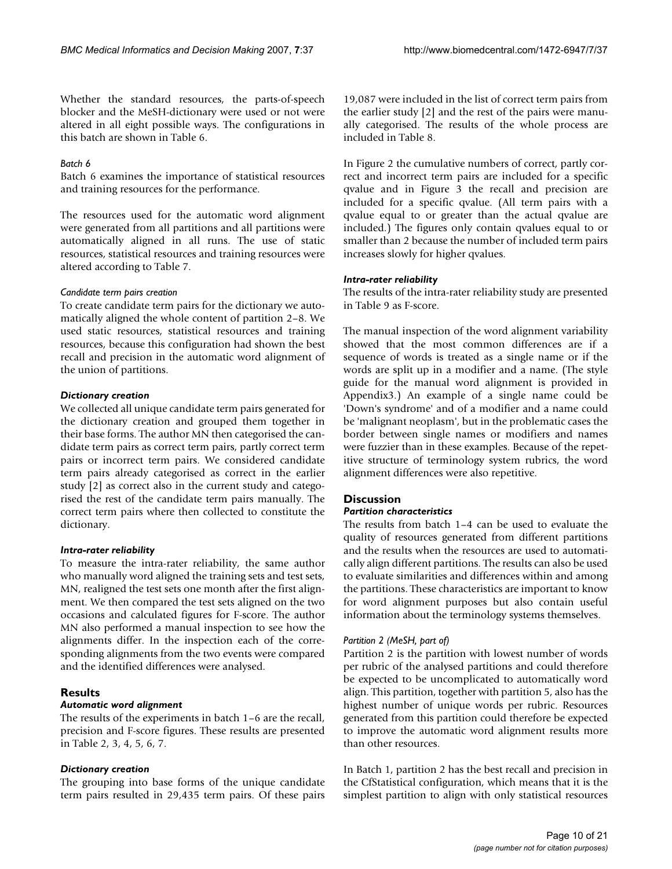Whether the standard resources, the parts-of-speech blocker and the MeSH-dictionary were used or not were altered in all eight possible ways. The configurations in this batch are shown in Table 6.

### *Batch 6*

Batch 6 examines the importance of statistical resources and training resources for the performance.

The resources used for the automatic word alignment were generated from all partitions and all partitions were automatically aligned in all runs. The use of static resources, statistical resources and training resources were altered according to Table 7.

### *Candidate term pairs creation*

To create candidate term pairs for the dictionary we automatically aligned the whole content of partition 2–8. We used static resources, statistical resources and training resources, because this configuration had shown the best recall and precision in the automatic word alignment of the union of partitions.

### *Dictionary creation*

We collected all unique candidate term pairs generated for the dictionary creation and grouped them together in their base forms. The author MN then categorised the candidate term pairs as correct term pairs, partly correct term pairs or incorrect term pairs. We considered candidate term pairs already categorised as correct in the earlier study [2] as correct also in the current study and categorised the rest of the candidate term pairs manually. The correct term pairs where then collected to constitute the dictionary.

### *Intra-rater reliability*

To measure the intra-rater reliability, the same author who manually word aligned the training sets and test sets, MN, realigned the test sets one month after the first alignment. We then compared the test sets aligned on the two occasions and calculated figures for F-score. The author MN also performed a manual inspection to see how the alignments differ. In the inspection each of the corresponding alignments from the two events were compared and the identified differences were analysed.

### **Results**

#### *Automatic word alignment*

The results of the experiments in batch 1–6 are the recall, precision and F-score figures. These results are presented in Table 2, 3, 4, 5, 6, 7.

#### *Dictionary creation*

The grouping into base forms of the unique candidate term pairs resulted in 29,435 term pairs. Of these pairs

19,087 were included in the list of correct term pairs from the earlier study [2] and the rest of the pairs were manually categorised. The results of the whole process are included in Table 8.

In Figure 2 the cumulative numbers of correct, partly correct and incorrect term pairs are included for a specific qvalue and in Figure 3 the recall and precision are included for a specific qvalue. (All term pairs with a qvalue equal to or greater than the actual qvalue are included.) The figures only contain qvalues equal to or smaller than 2 because the number of included term pairs increases slowly for higher qvalues.

### *Intra-rater reliability*

The results of the intra-rater reliability study are presented in Table 9 as F-score.

The manual inspection of the word alignment variability showed that the most common differences are if a sequence of words is treated as a single name or if the words are split up in a modifier and a name. (The style guide for the manual word alignment is provided in Appendix3.) An example of a single name could be 'Down's syndrome' and of a modifier and a name could be 'malignant neoplasm', but in the problematic cases the border between single names or modifiers and names were fuzzier than in these examples. Because of the repetitive structure of terminology system rubrics, the word alignment differences were also repetitive.

### **Discussion**

### *Partition characteristics*

The results from batch 1–4 can be used to evaluate the quality of resources generated from different partitions and the results when the resources are used to automatically align different partitions. The results can also be used to evaluate similarities and differences within and among the partitions. These characteristics are important to know for word alignment purposes but also contain useful information about the terminology systems themselves.

#### *Partition 2 (MeSH, part of)*

Partition 2 is the partition with lowest number of words per rubric of the analysed partitions and could therefore be expected to be uncomplicated to automatically word align. This partition, together with partition 5, also has the highest number of unique words per rubric. Resources generated from this partition could therefore be expected to improve the automatic word alignment results more than other resources.

In Batch 1, partition 2 has the best recall and precision in the CfStatistical configuration, which means that it is the simplest partition to align with only statistical resources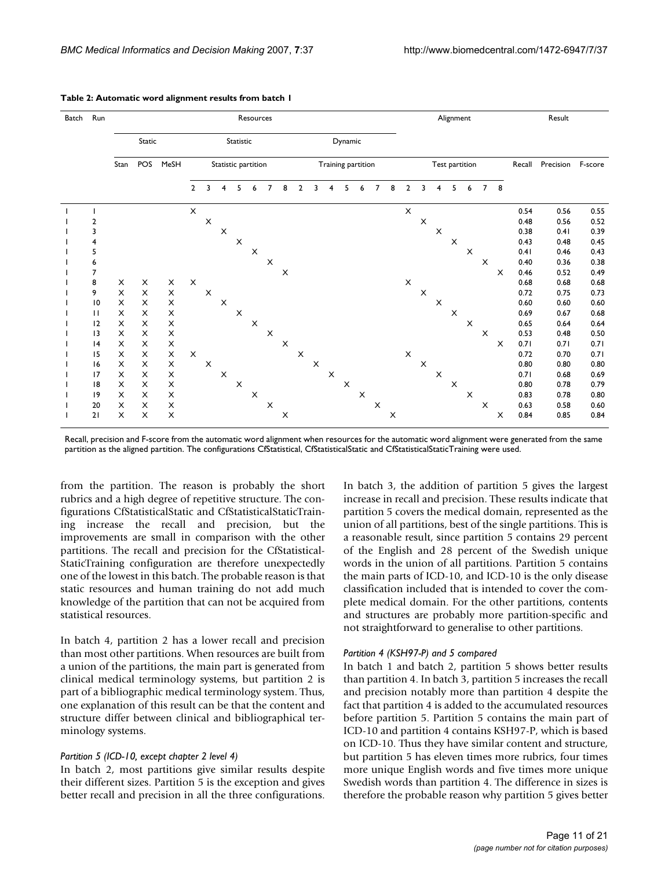| Batch        | Run            |                |          |                |                |          |                     |                           | Resources      |                |                       |                |                |                |                |                    |                |   |                |                |          | Alignment |                |                |          |        | Result    |         |
|--------------|----------------|----------------|----------|----------------|----------------|----------|---------------------|---------------------------|----------------|----------------|-----------------------|----------------|----------------|----------------|----------------|--------------------|----------------|---|----------------|----------------|----------|-----------|----------------|----------------|----------|--------|-----------|---------|
|              |                |                | Static   |                |                |          |                     | Statistic                 |                |                |                       |                |                |                | Dynamic        |                    |                |   |                |                |          |           |                |                |          |        |           |         |
|              |                | Stan           |          | POS MeSH       |                |          | Statistic partition |                           |                |                |                       |                |                |                |                | Training partition |                |   |                |                |          |           | Test partition |                |          | Recall | Precision | F-score |
|              |                |                |          |                | $\overline{2}$ | 3        | $\overline{4}$      | 5                         | 6              | $\overline{7}$ | 8                     | $\overline{2}$ | 3              | $\overline{4}$ | 5              | 6                  | $\overline{7}$ | 8 | $\overline{2}$ | 3              | 4        | 5         | 6              | $\overline{7}$ | 8        |        |           |         |
| $\mathbf{I}$ |                |                |          |                | $\times$       |          |                     |                           |                |                |                       |                |                |                |                |                    |                |   | $\pmb{\times}$ |                |          |           |                |                |          | 0.54   | 0.56      | 0.55    |
|              | 2              |                |          |                |                | X        |                     |                           |                |                |                       |                |                |                |                |                    |                |   |                | X              |          |           |                |                |          | 0.48   | 0.56      | 0.52    |
|              | 3              |                |          |                |                |          | X                   |                           |                |                |                       |                |                |                |                |                    |                |   |                |                | $\times$ |           |                |                |          | 0.38   | 0.41      | 0.39    |
|              | 4              |                |          |                |                |          |                     | X                         |                |                |                       |                |                |                |                |                    |                |   |                |                |          | X         |                |                |          | 0.43   | 0.48      | 0.45    |
|              | 5              |                |          |                |                |          |                     |                           | X              |                |                       |                |                |                |                |                    |                |   |                |                |          |           | X              |                |          | 0.41   | 0.46      | 0.43    |
|              | 6              |                |          |                |                |          |                     |                           |                | $\pmb{\times}$ |                       |                |                |                |                |                    |                |   |                |                |          |           |                | $\pmb{\times}$ |          | 0.40   | 0.36      | 0.38    |
|              | $\overline{7}$ |                |          |                |                |          |                     |                           |                |                | X                     |                |                |                |                |                    |                |   |                |                |          |           |                |                | $\times$ | 0.46   | 0.52      | 0.49    |
|              | 8              | X              | X        | $\pmb{\times}$ | $\pmb{\times}$ |          |                     |                           |                |                |                       |                |                |                |                |                    |                |   | $\pmb{\times}$ |                |          |           |                |                |          | 0.68   | 0.68      | 0.68    |
|              | 9              | $\pmb{\times}$ | X        | $\pmb{\times}$ |                | X        |                     |                           |                |                |                       |                |                |                |                |                    |                |   |                | X              |          |           |                |                |          | 0.72   | 0.75      | 0.73    |
|              | 10             | $\times$       | $\times$ | $\pmb{\times}$ |                |          | X                   |                           |                |                |                       |                |                |                |                |                    |                |   |                |                | X        |           |                |                |          | 0.60   | 0.60      | 0.60    |
|              | $\mathbf{H}$   | X              | $\times$ | $\pmb{\times}$ |                |          |                     | $\boldsymbol{\mathsf{X}}$ |                |                |                       |                |                |                |                |                    |                |   |                |                |          | $\times$  |                |                |          | 0.69   | 0.67      | 0.68    |
|              | 12             | X              | $\times$ | $\pmb{\times}$ |                |          |                     |                           | $\pmb{\times}$ |                |                       |                |                |                |                |                    |                |   |                |                |          |           | X              |                |          | 0.65   | 0.64      | 0.64    |
|              | 13             | X              | X        | $\pmb{\times}$ |                |          |                     |                           |                | $\pmb{\times}$ |                       |                |                |                |                |                    |                |   |                |                |          |           |                | $\pmb{\times}$ |          | 0.53   | 0.48      | 0.50    |
|              | 4              | X              | $\times$ | $\pmb{\times}$ |                |          |                     |                           |                |                | $\times$              |                |                |                |                |                    |                |   |                |                |          |           |                |                | X        | 0.71   | 0.71      | 0.71    |
|              | 15             | X              | X        | X              | X              |          |                     |                           |                |                |                       | X              |                |                |                |                    |                |   | $\pmb{\times}$ |                |          |           |                |                |          | 0.72   | 0.70      | 0.71    |
|              | 16             | X              | $\times$ | $\pmb{\times}$ |                | $\times$ |                     |                           |                |                |                       |                | $\pmb{\times}$ |                |                |                    |                |   |                | $\pmb{\times}$ |          |           |                |                |          | 0.80   | 0.80      | 0.80    |
|              | 17             | X              | X        | $\pmb{\times}$ |                |          | X                   |                           |                |                |                       |                |                | X              |                |                    |                |   |                |                | $\times$ |           |                |                |          | 0.71   | 0.68      | 0.69    |
|              | 8              | X              | X        | $\pmb{\times}$ |                |          |                     | $\pmb{\times}$            |                |                |                       |                |                |                | $\pmb{\times}$ |                    |                |   |                |                |          | $\times$  |                |                |          | 0.80   | 0.78      | 0.79    |
|              | 9              | X              | $\times$ | X              |                |          |                     |                           | X              |                |                       |                |                |                |                | X                  |                |   |                |                |          |           | X              |                |          | 0.83   | 0.78      | 0.80    |
|              | 20             | X              | $\times$ | $\pmb{\times}$ |                |          |                     |                           |                | X              |                       |                |                |                |                |                    | X              |   |                |                |          |           |                | X              |          | 0.63   | 0.58      | 0.60    |
|              | 21             | X              | X        | X              |                |          |                     |                           |                |                | $\boldsymbol{\times}$ |                |                |                |                |                    |                | X |                |                |          |           |                |                | X        | 0.84   | 0.85      | 0.84    |

#### **Table 2: Automatic word alignment results from batch 1**

Recall, precision and F-score from the automatic word alignment when resources for the automatic word alignment were generated from the same partition as the aligned partition. The configurations CfStatistical, CfStatisticalStatic and CfStatisticalStaticTraining were used.

from the partition. The reason is probably the short rubrics and a high degree of repetitive structure. The configurations CfStatisticalStatic and CfStatisticalStaticTraining increase the recall and precision, but the improvements are small in comparison with the other partitions. The recall and precision for the CfStatistical-StaticTraining configuration are therefore unexpectedly one of the lowest in this batch. The probable reason is that static resources and human training do not add much knowledge of the partition that can not be acquired from statistical resources.

In batch 4, partition 2 has a lower recall and precision than most other partitions. When resources are built from a union of the partitions, the main part is generated from clinical medical terminology systems, but partition 2 is part of a bibliographic medical terminology system. Thus, one explanation of this result can be that the content and structure differ between clinical and bibliographical terminology systems.

#### *Partition 5 (ICD-10, except chapter 2 level 4)*

In batch 2, most partitions give similar results despite their different sizes. Partition 5 is the exception and gives better recall and precision in all the three configurations.

In batch 3, the addition of partition 5 gives the largest increase in recall and precision. These results indicate that partition 5 covers the medical domain, represented as the union of all partitions, best of the single partitions. This is a reasonable result, since partition 5 contains 29 percent of the English and 28 percent of the Swedish unique words in the union of all partitions. Partition 5 contains the main parts of ICD-10, and ICD-10 is the only disease classification included that is intended to cover the complete medical domain. For the other partitions, contents and structures are probably more partition-specific and not straightforward to generalise to other partitions.

#### *Partition 4 (KSH97-P) and 5 compared*

In batch 1 and batch 2, partition 5 shows better results than partition 4. In batch 3, partition 5 increases the recall and precision notably more than partition 4 despite the fact that partition 4 is added to the accumulated resources before partition 5. Partition 5 contains the main part of ICD-10 and partition 4 contains KSH97-P, which is based on ICD-10. Thus they have similar content and structure, but partition 5 has eleven times more rubrics, four times more unique English words and five times more unique Swedish words than partition 4. The difference in sizes is therefore the probable reason why partition 5 gives better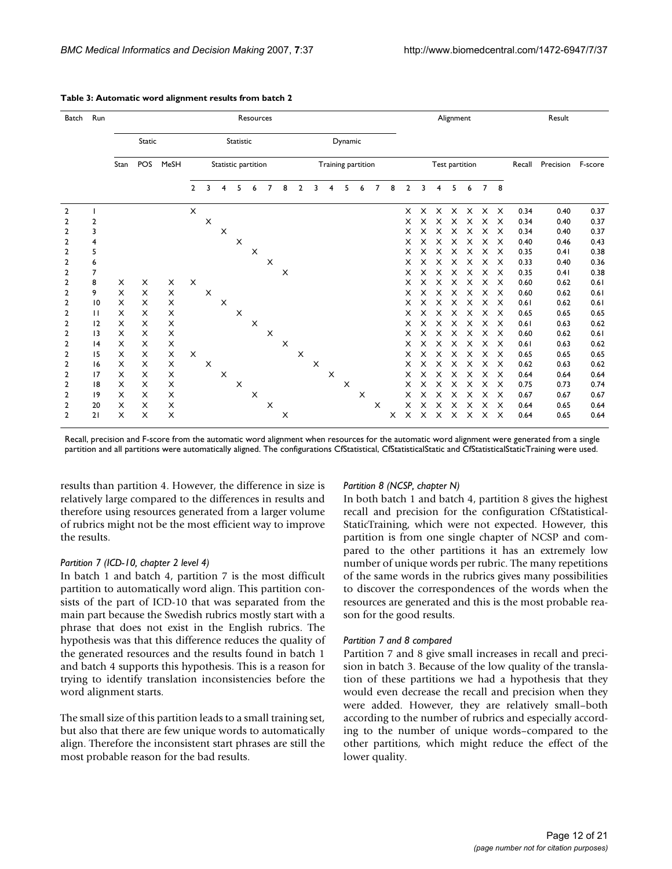| Batch          | Run          |          |                |                |                |          |                |           | Resources           |                |                |                |                |                    |          |   |   |   |                |          |          | Alignment      |          |                |              |        | Result    |         |
|----------------|--------------|----------|----------------|----------------|----------------|----------|----------------|-----------|---------------------|----------------|----------------|----------------|----------------|--------------------|----------|---|---|---|----------------|----------|----------|----------------|----------|----------------|--------------|--------|-----------|---------|
|                |              |          | <b>Static</b>  |                |                |          |                | Statistic |                     |                |                |                |                |                    | Dynamic  |   |   |   |                |          |          |                |          |                |              |        |           |         |
|                |              | Stan     | POS            | MeSH           |                |          |                |           | Statistic partition |                |                |                |                | Training partition |          |   |   |   |                |          |          | Test partition |          |                |              | Recall | Precision | F-score |
|                |              |          |                |                | $\overline{2}$ | 3        | $\overline{4}$ | 5         | 6                   | $\overline{7}$ | 8              | $\overline{2}$ | 3              | 4                  | 5        | 6 | 7 | 8 | $\overline{2}$ | 3        | 4        | 5              | 6        | $\overline{7}$ | 8            |        |           |         |
| $\overline{2}$ |              |          |                |                | X              |          |                |           |                     |                |                |                |                |                    |          |   |   |   | X              | $\times$ | $\times$ | $\times$       | $\times$ | $\times$       | $\mathsf{X}$ | 0.34   | 0.40      | 0.37    |
| $\overline{2}$ | 2            |          |                |                |                | X        |                |           |                     |                |                |                |                |                    |          |   |   |   | X              | X        | x        | х              | X        | X              | $\times$     | 0.34   | 0.40      | 0.37    |
| $\overline{2}$ | 3            |          |                |                |                |          | X              |           |                     |                |                |                |                |                    |          |   |   |   | X              | X        | x        | X              | $\times$ | $\times$       | $\times$     | 0.34   | 0.40      | 0.37    |
| $\overline{2}$ | 4            |          |                |                |                |          |                | X         |                     |                |                |                |                |                    |          |   |   |   | X              | X        | x        | X              | X        | X              | $\mathsf{X}$ | 0.40   | 0.46      | 0.43    |
| $\overline{2}$ | 5            |          |                |                |                |          |                |           | $\times$            |                |                |                |                |                    |          |   |   |   | X              | X        | x        | X              | X        | $\times$       | $\mathsf{X}$ | 0.35   | 0.41      | 0.38    |
| $\overline{2}$ | 6            |          |                |                |                |          |                |           |                     | X              |                |                |                |                    |          |   |   |   | X              | X        | X        | х              | X        | X              | $\mathsf{X}$ | 0.33   | 0.40      | 0.36    |
| $\overline{2}$ | 7            |          |                |                |                |          |                |           |                     |                | $\pmb{\times}$ |                |                |                    |          |   |   |   | X              | x        | x        | x              | X        | X              | $\mathsf{X}$ | 0.35   | 0.41      | 0.38    |
| $\overline{2}$ | 8            | X        | X              | X              | $\pmb{\times}$ |          |                |           |                     |                |                |                |                |                    |          |   |   |   | X              | x        | x        | X              | X        | X              | $\mathsf{x}$ | 0.60   | 0.62      | 0.61    |
| $\overline{2}$ | 9            | X        | X              | X              |                | X        |                |           |                     |                |                |                |                |                    |          |   |   |   | X              | X        | X        | X              | X        | X              | $\mathsf{X}$ | 0.60   | 0.62      | 0.61    |
| $\overline{2}$ | 10           | X        | X              | $\pmb{\times}$ |                |          | X              |           |                     |                |                |                |                |                    |          |   |   |   | X              | X        | x        | X              | X        | $\times$       | $\times$     | 0.61   | 0.62      | 0.61    |
| $\overline{2}$ | $\mathbf{H}$ | X        | X              | X              |                |          |                | X         |                     |                |                |                |                |                    |          |   |   |   | X              | $\times$ | X        | X              | X        | X              | $\mathsf{X}$ | 0.65   | 0.65      | 0.65    |
| $\overline{2}$ | 12           | X        | $\times$       | $\pmb{\times}$ |                |          |                |           | $\times$            |                |                |                |                |                    |          |   |   |   | X              | X        | x        | X              | X        | X              | $\mathsf{x}$ | 0.61   | 0.63      | 0.62    |
| $\overline{2}$ | 3            | X        | X              | X              |                |          |                |           |                     | $\times$       |                |                |                |                    |          |   |   |   | X              | X        | x        | х              | X        | X              | $\mathsf{x}$ | 0.60   | 0.62      | 0.61    |
| $\overline{2}$ | 4            | X        | X              | X              |                |          |                |           |                     |                | X              |                |                |                    |          |   |   |   | X              | X        | х        | х              | $\times$ | $\times$       | $\mathsf{X}$ | 0.61   | 0.63      | 0.62    |
| $\overline{2}$ | 15           | X        | $\pmb{\times}$ | $\pmb{\times}$ | $\pmb{\times}$ |          |                |           |                     |                |                | $\times$       |                |                    |          |   |   |   | X              | x        | x        | X              | X        | X              | $\times$     | 0.65   | 0.65      | 0.65    |
| $\overline{2}$ | 16           | $\times$ | X              | X              |                | $\times$ |                |           |                     |                |                |                | $\pmb{\times}$ |                    |          |   |   |   | X              | $\times$ | X        | X              | X        | X              | $\mathsf{X}$ | 0.62   | 0.63      | 0.62    |
| $\overline{2}$ | 17           | X        | $\times$       | $\pmb{\times}$ |                |          | $\times$       |           |                     |                |                |                |                | $\pmb{\times}$     |          |   |   |   | X              | х        | x        | X              | X        | $\times$       | $\times$     | 0.64   | 0.64      | 0.64    |
| $\overline{2}$ | 18           | X        | $\times$       | X              |                |          |                | X         |                     |                |                |                |                |                    | $\times$ |   |   |   | X              | x        | x        | X              | X        | X              | $\times$     | 0.75   | 0.73      | 0.74    |
| $\overline{2}$ | 9            | $\times$ | $\times$       | X              |                |          |                |           | X                   |                |                |                |                |                    |          | X |   |   | X              | x        | x        | x              | X        | X              | $\times$     | 0.67   | 0.67      | 0.67    |
| $\overline{2}$ | 20           | X        | X              | X              |                |          |                |           |                     | $\times$       |                |                |                |                    |          |   | X |   | X              | X        | x        | X              | X        | X              | $\times$     | 0.64   | 0.65      | 0.64    |
| $\overline{2}$ | 21           | X        | $\times$       | X              |                |          |                |           |                     |                | X              |                |                |                    |          |   |   | X | X              | X        | X        | X              | $\times$ | X              | $\mathsf{X}$ | 0.64   | 0.65      | 0.64    |

#### **Table 3: Automatic word alignment results from batch 2**

Recall, precision and F-score from the automatic word alignment when resources for the automatic word alignment were generated from a single partition and all partitions were automatically aligned. The configurations CfStatistical, CfStatisticalStatic and CfStatisticalStaticTraining were used.

results than partition 4. However, the difference in size is relatively large compared to the differences in results and therefore using resources generated from a larger volume of rubrics might not be the most efficient way to improve the results.

#### *Partition 7 (ICD-10, chapter 2 level 4)*

In batch 1 and batch 4, partition 7 is the most difficult partition to automatically word align. This partition consists of the part of ICD-10 that was separated from the main part because the Swedish rubrics mostly start with a phrase that does not exist in the English rubrics. The hypothesis was that this difference reduces the quality of the generated resources and the results found in batch 1 and batch 4 supports this hypothesis. This is a reason for trying to identify translation inconsistencies before the word alignment starts.

The small size of this partition leads to a small training set, but also that there are few unique words to automatically align. Therefore the inconsistent start phrases are still the most probable reason for the bad results.

### *Partition 8 (NCSP, chapter N)*

In both batch 1 and batch 4, partition 8 gives the highest recall and precision for the configuration CfStatistical-StaticTraining, which were not expected. However, this partition is from one single chapter of NCSP and compared to the other partitions it has an extremely low number of unique words per rubric. The many repetitions of the same words in the rubrics gives many possibilities to discover the correspondences of the words when the resources are generated and this is the most probable reason for the good results.

#### *Partition 7 and 8 compared*

Partition 7 and 8 give small increases in recall and precision in batch 3. Because of the low quality of the translation of these partitions we had a hypothesis that they would even decrease the recall and precision when they were added. However, they are relatively small–both according to the number of rubrics and especially according to the number of unique words–compared to the other partitions, which might reduce the effect of the lower quality.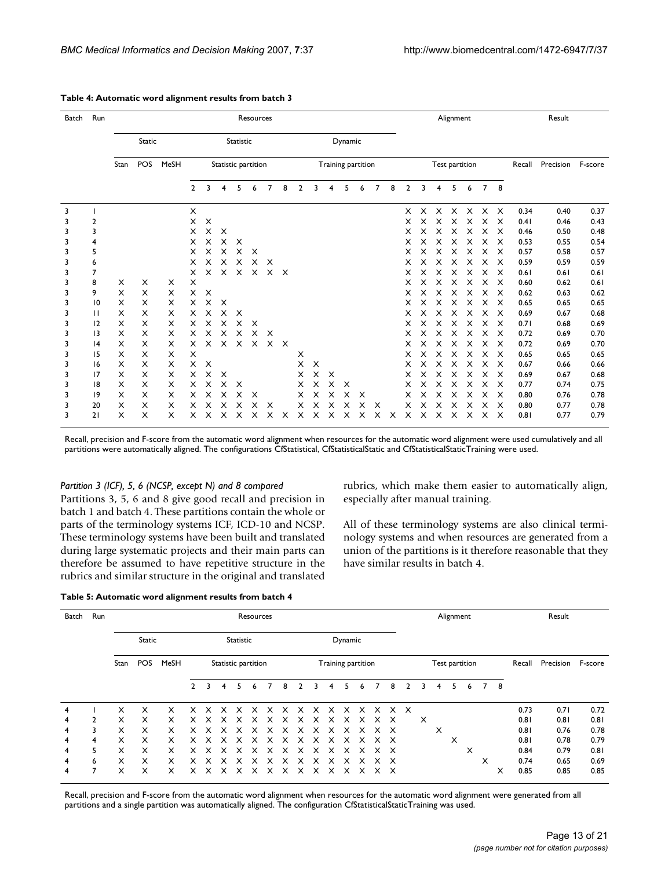| Batch | Run          |          |               |          |                |          |                |           | Resources           |                |         |                |   |          |          |                    |          |   |                |          |          | Alignment      |          |             |              |      | Result           |         |
|-------|--------------|----------|---------------|----------|----------------|----------|----------------|-----------|---------------------|----------------|---------|----------------|---|----------|----------|--------------------|----------|---|----------------|----------|----------|----------------|----------|-------------|--------------|------|------------------|---------|
|       |              |          | <b>Static</b> |          |                |          |                | Statistic |                     |                |         |                |   |          | Dynamic  |                    |          |   |                |          |          |                |          |             |              |      |                  |         |
|       |              | Stan     | <b>POS</b>    | MeSH     |                |          |                |           | Statistic partition |                |         |                |   |          |          | Training partition |          |   |                |          |          | Test partition |          |             |              |      | Recall Precision | F-score |
|       |              |          |               |          | $\overline{2}$ | 3        | $\overline{4}$ | 5         | 6                   | $\overline{7}$ | 8       | $\overline{2}$ | 3 | 4        | 5        | 6                  | 7        | 8 | $\overline{2}$ | 3        | 4        | 5              | 6        | $7^{\circ}$ | 8            |      |                  |         |
| 3     |              |          |               |          | X              |          |                |           |                     |                |         |                |   |          |          |                    |          |   | X              | $\times$ | $\times$ | $\times$       |          | $X$ $X$ $X$ |              | 0.34 | 0.40             | 0.37    |
| 3     | 2            |          |               |          | X              | X        |                |           |                     |                |         |                |   |          |          |                    |          |   | X              | X        | x        | X              | X        | $\times$    | $\mathsf{x}$ | 0.41 | 0.46             | 0.43    |
| 3     | 3            |          |               |          | $\times$       | $\times$ | $\times$       |           |                     |                |         |                |   |          |          |                    |          |   | X              | X        | x        | X              | $\times$ | X           | $\mathsf{x}$ | 0.46 | 0.50             | 0.48    |
| 3     | 4            |          |               |          | x              | X        | $\times$       | $\times$  |                     |                |         |                |   |          |          |                    |          |   | X              | X        | X        | X              | X        | X           | $\mathsf{X}$ | 0.53 | 0.55             | 0.54    |
| 3     | 5            |          |               |          | X              | X        | X              | X         | $\times$            |                |         |                |   |          |          |                    |          |   | X              | X        | X        | X              | X        | X           | $\mathsf{x}$ | 0.57 | 0.58             | 0.57    |
| 3     | 6            |          |               |          | X              | X        | $\times$       | $\times$  | $\times$            | X              |         |                |   |          |          |                    |          |   | X              | X        | X        | X              | X        | X           | $\mathsf{x}$ | 0.59 | 0.59             | 0.59    |
| 3     | 7            |          |               |          | X              | X        | $\times$       | $\times$  | $\times$            |                | $X$ $X$ |                |   |          |          |                    |          |   | X              | x        | х        | X              | $\times$ | X           | $\mathsf{x}$ | 0.61 | 0.61             | 0.61    |
| 3     | 8            | X        | X             | $\times$ | X              |          |                |           |                     |                |         |                |   |          |          |                    |          |   | X              | X        | x        | X              | X        | $\times$    | $\mathsf{x}$ | 0.60 | 0.62             | 0.61    |
| 3     | 9            | X        | X             | X        | $\times$       | X        |                |           |                     |                |         |                |   |          |          |                    |          |   | X              | X        | x        | X              | $\times$ | $\times$    | $\mathsf{X}$ | 0.62 | 0.63             | 0.62    |
| 3     | 10           | X        | X             | X        | X              | $\times$ | $\times$       |           |                     |                |         |                |   |          |          |                    |          |   | X              | X        | X        | X              | X        | X           | $\mathsf{X}$ | 0.65 | 0.65             | 0.65    |
| 3     | $\mathbf{H}$ | X        | X             | X        | $\times$       | X        | $\times$       | X         |                     |                |         |                |   |          |          |                    |          |   | X              | $\times$ | X        | X              | $\times$ | X           | $\mathsf{X}$ | 0.69 | 0.67             | 0.68    |
| 3     | 12           | $\times$ | $\times$      | X        | X              | X        | $\times$       | X         | $\times$            |                |         |                |   |          |          |                    |          |   | X              | X        | x        | $\times$       | X        | X           | $\mathsf{x}$ | 0.71 | 0.68             | 0.69    |
| 3     | 3            | X        | X             | X        | X              | X        | $\times$       | X         | $\times$            | $\times$       |         |                |   |          |          |                    |          |   | х              | x        | x        | X              | X        | X           | $\mathsf{x}$ | 0.72 | 0.69             | 0.70    |
| 3     | 4            | X        | X             | X        | $\times$       | $\times$ |                |           | X X X               |                | $X$ $X$ |                |   |          |          |                    |          |   | X              | X        | X        | X              | X        | $\times$    | $\mathsf{X}$ | 0.72 | 0.69             | 0.70    |
| 3     | 15           | X        | X             | X        | X              |          |                |           |                     |                |         | X              |   |          |          |                    |          |   | X              | x        | x        | x              | X        | X           | $\mathsf{X}$ | 0.65 | 0.65             | 0.65    |
| 3     | 16           | X        | $\times$      | X        | $\times$       | X        |                |           |                     |                |         | X              | X |          |          |                    |          |   | X              | X        | X        | X              | X        | X           | $\mathsf{x}$ | 0.67 | 0.66             | 0.66    |
| 3     | 17           | X        | X             | X        | $\times$       | $\times$ | $\times$       |           |                     |                |         | X              | X | $\times$ |          |                    |          |   | X              | X        | х        | х              | X        | X           | $\mathsf{X}$ | 0.69 | 0.67             | 0.68    |
| 3     | 18           | X        | $\times$      | X        | X.             | X        | $\times$       | X         |                     |                |         | X              | X | X        | $\times$ |                    |          |   | X              | X        | x        | X              | X        | X           | $\mathsf{x}$ | 0.77 | 0.74             | 0.75    |
| 3     | 9            | X        | X             | X        | $\times$       | X        | $\times$       | X         | X                   |                |         | X              | X | $\times$ | $\times$ | X                  |          |   | X              | X        | X        | X              | X        | X           | $\times$     | 0.80 | 0.76             | 0.78    |
| 3     | 20           | X        | X             | X        | $\times$       | X        | $\times$       | $\times$  | X                   | X              |         | $\times$       | X | $\times$ | $\times$ | $\times$           | $\times$ |   | X              | $\times$ | X        | X              | X        | X           | $\mathsf{X}$ | 0.80 | 0.77             | 0.78    |
| 3     | 21           | X        | X             | X        | $\times$       | X        | $\times$       | X         | $\times$            | X              | X       | X              | X | $\times$ | $\times$ | $\times$           | X        | X | X              | $\times$ | $\times$ | X              | $\times$ | $\times$    | X            | 0.81 | 0.77             | 0.79    |

#### **Table 4: Automatic word alignment results from batch 3**

Recall, precision and F-score from the automatic word alignment when resources for the automatic word alignment were used cumulatively and all partitions were automatically aligned. The configurations CfStatistical, CfStatisticalStatic and CfStatisticalStaticTraining were used.

#### *Partition 3 (ICF), 5, 6 (NCSP, except N) and 8 compared*

Partitions 3, 5, 6 and 8 give good recall and precision in batch 1 and batch 4. These partitions contain the whole or parts of the terminology systems ICF, ICD-10 and NCSP. These terminology systems have been built and translated during large systematic projects and their main parts can therefore be assumed to have repetitive structure in the rubrics and similar structure in the original and translated

rubrics, which make them easier to automatically align, especially after manual training.

All of these terminology systems are also clinical terminology systems and when resources are generated from a union of the partitions is it therefore reasonable that they have similar results in batch 4.

|  |  | Table 5: Automatic word alignment results from batch 4 |
|--|--|--------------------------------------------------------|
|--|--|--------------------------------------------------------|

| Batch          | Run            |      |               |          |              |   |                     |                  | Resources |          |          |              |          |          |                    |          |                |                   |              |   |   | Alignment |                |   |     |      | Result                   |      |
|----------------|----------------|------|---------------|----------|--------------|---|---------------------|------------------|-----------|----------|----------|--------------|----------|----------|--------------------|----------|----------------|-------------------|--------------|---|---|-----------|----------------|---|-----|------|--------------------------|------|
|                |                |      | <b>Static</b> |          |              |   |                     | <b>Statistic</b> |           |          |          |              |          |          | Dynamic            |          |                |                   |              |   |   |           |                |   |     |      |                          |      |
|                |                | Stan | POS           | MeSH     |              |   | Statistic partition |                  |           |          |          |              |          |          | Training partition |          |                |                   |              |   |   |           | Test partition |   |     |      | Recall Precision F-score |      |
|                |                |      |               |          | $\mathbf{2}$ | 3 | 4                   |                  | 6         | 7        | 8        | $\mathbf{2}$ | 3        | 4        | 5                  | 6        | $\overline{7}$ | 8                 | <sup>2</sup> | 3 | 4 | 5         | 6              |   | - 8 |      |                          |      |
| $\overline{4}$ |                | x    | X             | X        | x            |   | x                   | x                | x         | $\times$ | $\times$ | $\times$     | $\times$ | X.       | $\times$           | $\times$ | $\times$       | x x               |              |   |   |           |                |   |     | 0.73 | 0.71                     | 0.72 |
| 4              | 2              | x    | X             | X        | x            |   |                     |                  |           | x.       | X        | x            | X        | $\times$ | X                  | x        | X              | X                 |              | X |   |           |                |   |     | 0.81 | 0.81                     | 0.81 |
| 4              | 3              | X    | X             | X        | x.           | x | x                   | X                | X         | X.       | X        | x            | X        | X        | X                  | x        | X              | X                 |              |   | X |           |                |   |     | 0.81 | 0.76                     | 0.78 |
| 4              | $\overline{4}$ | X    | X             | X        | X.           | x | x                   | x                | x         | X.       | X.       | $\times$     | X        | X        | X                  | X        |                | x x               |              |   |   | X         |                |   |     | 0.81 | 0.78                     | 0.79 |
| 4              | 5              | X    | X             | X        | x            | x | х                   |                  |           |          | x        | x            | x        | ×        | x                  | х        | X.             | - X               |              |   |   |           | X              |   |     | 0.84 | 0.79                     | 0.81 |
| $\overline{4}$ | 6              | X    | X             | $\times$ | x.           | x | х                   |                  |           |          | x        | x            | x        | X        | x                  | x        |                | $\times$ $\times$ |              |   |   |           |                | X |     | 0.74 | 0.65                     | 0.69 |
| 4              | 7              | X    | x             | X        | x            | х | х                   | x                | x         | х        | x        | х            | X        | X        | X                  | x        | X.             | - X               |              |   |   |           |                |   | х   | 0.85 | 0.85                     | 0.85 |

Recall, precision and F-score from the automatic word alignment when resources for the automatic word alignment were generated from all partitions and a single partition was automatically aligned. The configuration CfStatisticalStaticTraining was used.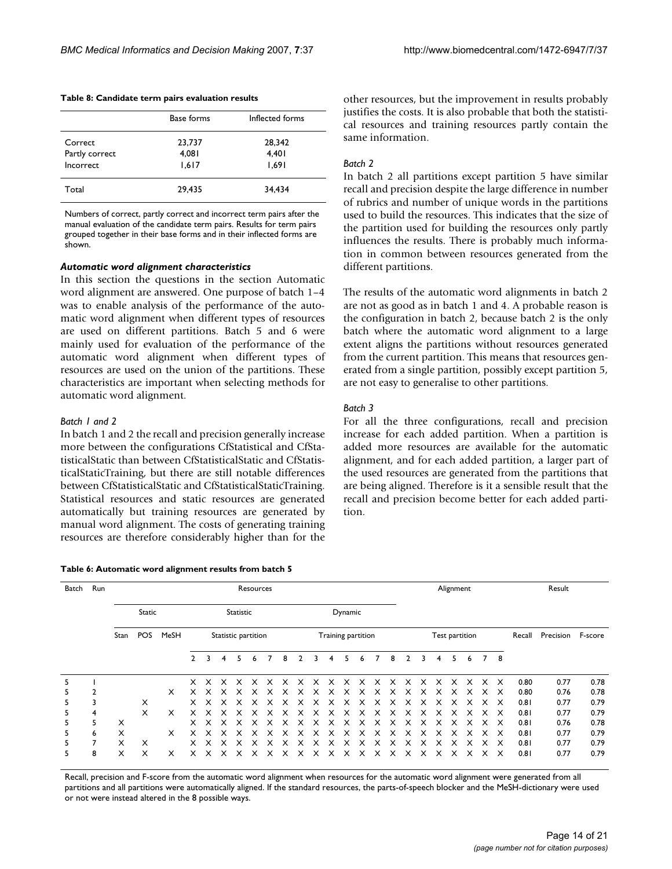|                | <b>Base forms</b> | Inflected forms |
|----------------|-------------------|-----------------|
| Correct        | 23,737            | 28,342          |
| Partly correct | 4,081             | 4,401           |
| Incorrect      | 1,617             | 1,691           |
| Total          | 29,435            | 34,434          |

**Table 8: Candidate term pairs evaluation results**

Numbers of correct, partly correct and incorrect term pairs after the manual evaluation of the candidate term pairs. Results for term pairs grouped together in their base forms and in their inflected forms are shown.

#### *Automatic word alignment characteristics*

In this section the questions in the section Automatic word alignment are answered. One purpose of batch 1–4 was to enable analysis of the performance of the automatic word alignment when different types of resources are used on different partitions. Batch 5 and 6 were mainly used for evaluation of the performance of the automatic word alignment when different types of resources are used on the union of the partitions. These characteristics are important when selecting methods for automatic word alignment.

#### *Batch 1 and 2*

In batch 1 and 2 the recall and precision generally increase more between the configurations CfStatistical and CfStatisticalStatic than between CfStatisticalStatic and CfStatisticalStaticTraining, but there are still notable differences between CfStatisticalStatic and CfStatisticalStaticTraining. Statistical resources and static resources are generated automatically but training resources are generated by manual word alignment. The costs of generating training resources are therefore considerably higher than for the

**Table 6: Automatic word alignment results from batch 5**

other resources, but the improvement in results probably justifies the costs. It is also probable that both the statistical resources and training resources partly contain the same information.

### *Batch 2*

In batch 2 all partitions except partition 5 have similar recall and precision despite the large difference in number of rubrics and number of unique words in the partitions used to build the resources. This indicates that the size of the partition used for building the resources only partly influences the results. There is probably much information in common between resources generated from the different partitions.

The results of the automatic word alignments in batch 2 are not as good as in batch 1 and 4. A probable reason is the configuration in batch 2, because batch 2 is the only batch where the automatic word alignment to a large extent aligns the partitions without resources generated from the current partition. This means that resources generated from a single partition, possibly except partition 5, are not easy to generalise to other partitions.

#### *Batch 3*

For all the three configurations, recall and precision increase for each added partition. When a partition is added more resources are available for the automatic alignment, and for each added partition, a larger part of the used resources are generated from the partitions that are being aligned. Therefore is it a sensible result that the recall and precision become better for each added partition.

| Batch | Run |      | Resources |          |              |          |          |           |                     |          |   |          |          |          |          |                    |              |          |   |          |    | Alignment |                |    |              |        | Result            |      |
|-------|-----|------|-----------|----------|--------------|----------|----------|-----------|---------------------|----------|---|----------|----------|----------|----------|--------------------|--------------|----------|---|----------|----|-----------|----------------|----|--------------|--------|-------------------|------|
|       |     |      | Static    |          |              |          |          | Statistic |                     |          |   |          |          |          | Dynamic  |                    |              |          |   |          |    |           |                |    |              |        |                   |      |
|       |     | Stan | POS       | MeSH     |              |          |          |           | Statistic partition |          |   |          |          |          |          | Training partition |              |          |   |          |    |           | Test partition |    |              | Recall | Precision F-score |      |
|       |     |      |           |          | $\mathbf{2}$ | 3        | 4        | 5         | 6                   |          | 8 |          | ٦        |          | 5        | 6                  |              | 8        |   |          | 4  | 5         |                |    | 8            |        |                   |      |
| 5     |     |      |           |          | X.           | $\times$ | $\times$ | $\times$  | X                   | $\times$ | X | $\times$ | $\times$ | $\times$ | $\times$ | $\times$           | $\mathsf{X}$ | $\times$ | X | $\times$ | X. | X         | $\times$       | X. | $\mathsf{X}$ | 0.80   | 0.77              | 0.78 |
| 5     | 2   |      |           | $\times$ | x            |          |          |           |                     |          | x | x        | x        | X        | $\times$ | x                  | x            | x        | x | ×        | x  |           |                | x  |              | 0.80   | 0.76              | 0.78 |
| 5     | 3   |      | $\times$  |          | x            |          |          |           |                     |          |   | x        | x        | X        | X        | x                  | x            | x        | x |          |    |           |                | x  |              | 0.81   | 0.77              | 0.79 |
| 5     | 4   |      | X         | X        | x.           | х        | x        |           |                     |          | x | x        | x        | X        | X        | X                  | x            | x        | x |          |    |           |                | x. |              | 0.81   | 0.77              | 0.79 |
| 5     | 5   | X    |           |          | x            | х        | $\times$ |           |                     |          |   | х        | x        | X        | $\times$ | X                  | x            | x        |   |          |    |           |                | x  |              | 0.81   | 0.76              | 0.78 |
| 5     | 6   | X    |           | X        | x            | х        | x        |           |                     |          |   | х        | x        | x        | $\times$ | х                  | х            | x        | х |          | x  |           |                | x  |              | 0.81   | 0.77              | 0.79 |
| 5     | 7   | X    | X         |          | x.           | x        | х        | x         | x                   | x        | х | x        | x        | x        | $\times$ | X                  | x            | $\times$ | x | x        | X  | x         | x              | x  | $\mathsf{X}$ | 0.81   | 0.77              | 0.79 |
| 5     | 8   | X    | X         | х        | x            | x        | x        | x         | ×                   | x        | x | x        | x        | X        | X        | x                  | x            | x        | x | X        | X. | x         | x              | X. | X            | 0.81   | 0.77              | 0.79 |

Recall, precision and F-score from the automatic word alignment when resources for the automatic word alignment were generated from all partitions and all partitions were automatically aligned. If the standard resources, the parts-of-speech blocker and the MeSH-dictionary were used or not were instead altered in the 8 possible ways.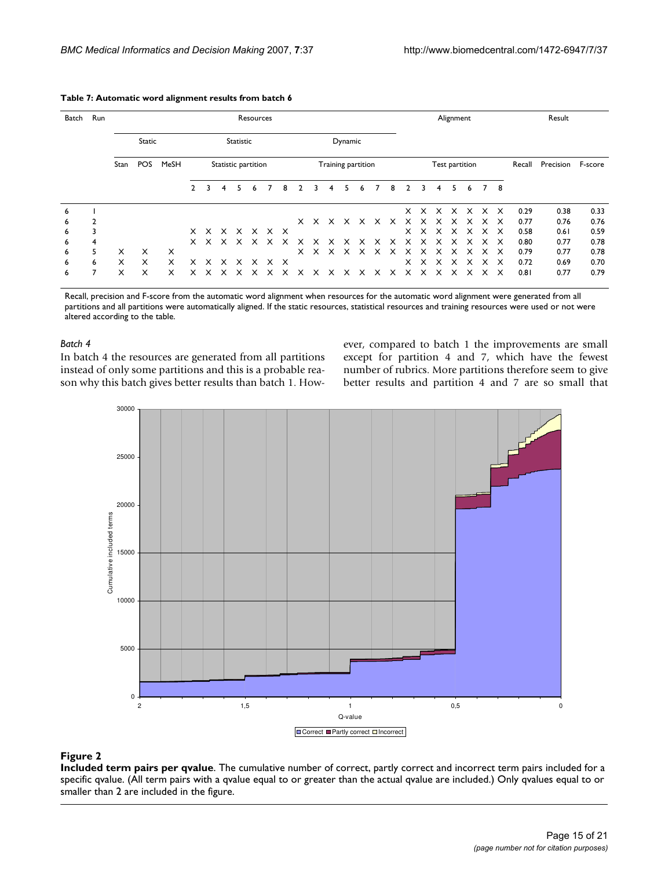| Batch | Run            |      |          |          |                |              |       |                     | Resources |    |   |    |   |   |         |                    |               |              |                |          |               | Alignment      |    |    |     |        | Result            |      |
|-------|----------------|------|----------|----------|----------------|--------------|-------|---------------------|-----------|----|---|----|---|---|---------|--------------------|---------------|--------------|----------------|----------|---------------|----------------|----|----|-----|--------|-------------------|------|
|       |                |      | Static   |          |                |              |       | Statistic           |           |    |   |    |   |   | Dynamic |                    |               |              |                |          |               |                |    |    |     |        |                   |      |
|       |                | Stan | POS      | MeSH     |                |              |       | Statistic partition |           |    |   |    |   |   |         | Training partition |               |              |                |          |               | Test partition |    |    |     | Recall | Precision F-score |      |
|       |                |      |          |          | $\overline{2}$ | 3            | 4     | 5                   | 6         |    | 8 | 2  | 3 | 4 | 5       | 6                  | 7             | 8            | $\overline{2}$ | 3        | 4             | 5              | 6  |    | 7 8 |        |                   |      |
| 6     |                |      |          |          |                |              |       |                     |           |    |   |    |   |   |         |                    |               |              |                |          | x x x x x x x |                |    |    |     | 0.29   | 0.38              | 0.33 |
| 6     | $\mathbf{2}$   |      |          |          |                |              |       |                     |           |    |   | X  |   |   |         |                    | x x x x x x x |              |                |          | X X           | $\times$       | X  |    | x x | 0.77   | 0.76              | 0.76 |
| 6     | 3              |      |          |          | X.             | $\mathsf{X}$ |       | x x x x x           |           |    |   |    |   |   |         |                    |               |              | X.             |          | X X           | X.             | X. |    | x x | 0.58   | 0.61              | 0.59 |
| 6     | 4              |      |          |          | X.             |              | x x x |                     | X.        | X. | X | X. | X | X | X       | X                  | X             | $\times$     | X              | X.       | X.            | X              | X  |    | x x | 0.80   | 0.77              | 0.78 |
| 6     | 5              | X    | $\times$ | $\times$ |                |              |       |                     |           |    |   | X  |   |   | x x x   | $\mathsf{X}$       | $\mathsf{X}$  | $\mathsf{X}$ | $\times$       | $\times$ | $\times$      | $\times$       | X  |    | x x | 0.79   | 0.77              | 0.78 |
| 6     | 6              | X    | X        | X        | $\times$       | X            |       | $X$ $X$ $X$ $X$ $X$ |           |    |   |    |   |   |         |                    |               |              | X.             | X.       | X.            | X              | x  |    | x x | 0.72   | 0.69              | 0.70 |
| 6     | $\overline{7}$ | X    | X        | X        | x.             | x            | x     |                     |           | x  | x | x  | x |   |         | x                  | x             | x            | x              | x        | ×.            | x              | X  | X. | - X | 0.81   | 0.77              | 0.79 |

#### **Table 7: Automatic word alignment results from batch 6**

Recall, precision and F-score from the automatic word alignment when resources for the automatic word alignment were generated from all partitions and all partitions were automatically aligned. If the static resources, statistical resources and training resources were used or not were altered according to the table.

### *Batch 4*

In batch 4 the resources are generated from all partitions instead of only some partitions and this is a probable reason why this batch gives better results than batch 1. However, compared to batch 1 the improvements are small except for partition 4 and 7, which have the fewest number of rubrics. More partitions therefore seem to give better results and partition 4 and 7 are so small that



#### **Figure 2**

**Included term pairs per qvalue**. The cumulative number of correct, partly correct and incorrect term pairs included for a specific qvalue. (All term pairs with a qvalue equal to or greater than the actual qvalue are included.) Only qvalues equal to or smaller than 2 are included in the figure.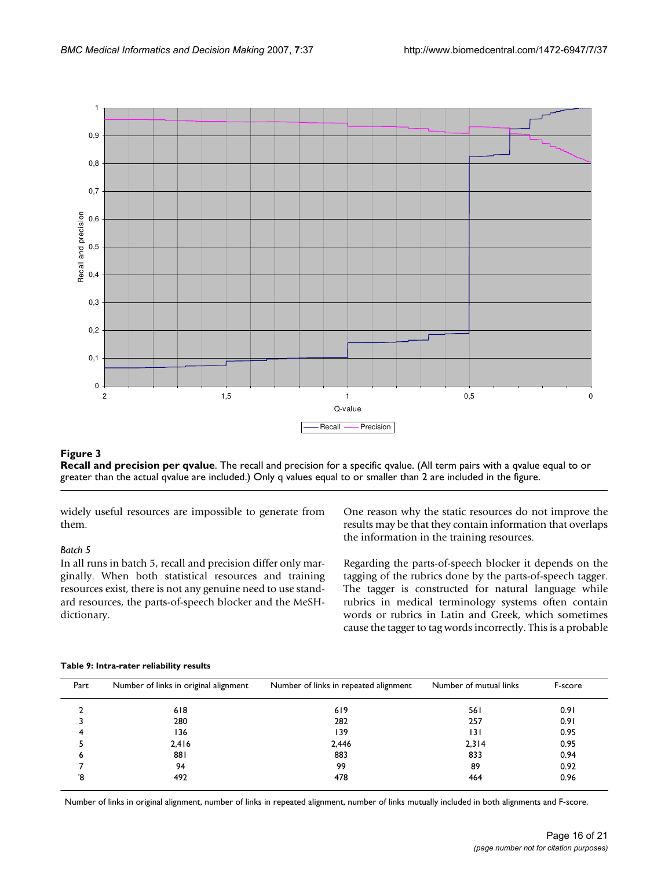

### **Figure 3**

**Recall and precision per qvalue**. The recall and precision for a specific qvalue. (All term pairs with a qvalue equal to or greater than the actual qvalue are included.) Only q values equal to or smaller than 2 are included in the figure.

widely useful resources are impossible to generate from them.

### *Batch 5*

In all runs in batch 5, recall and precision differ only marginally. When both statistical resources and training resources exist, there is not any genuine need to use standard resources, the parts-of-speech blocker and the MeSHdictionary.

One reason why the static resources do not improve the results may be that they contain information that overlaps the information in the training resources.

Regarding the parts-of-speech blocker it depends on the tagging of the rubrics done by the parts-of-speech tagger. The tagger is constructed for natural language while rubrics in medical terminology systems often contain words or rubrics in Latin and Greek, which sometimes cause the tagger to tag words incorrectly. This is a probable

| Part | Number of links in original alignment | Number of links in repeated alignment | Number of mutual links | F-score |
|------|---------------------------------------|---------------------------------------|------------------------|---------|
|      | 618                                   | 619                                   | 561                    | 0.91    |
|      | 280                                   | 282                                   | 257                    | 0.91    |
|      | 136                                   | 139                                   | 131                    | 0.95    |
|      | 2,416                                 | 2,446                                 | 2,314                  | 0.95    |
| 6    | 881                                   | 883                                   | 833                    | 0.94    |
|      | 94                                    | 99                                    | 89                     | 0.92    |
| '8   | 492                                   | 478                                   | 464                    | 0.96    |

#### **Table 9: Intra-rater reliability results**

Number of links in original alignment, number of links in repeated alignment, number of links mutually included in both alignments and F-score.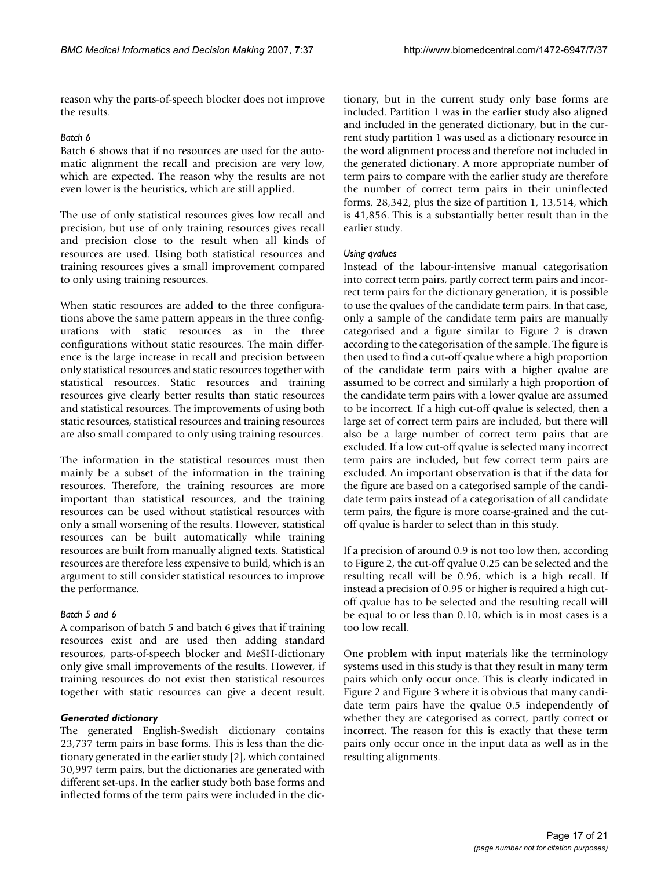reason why the parts-of-speech blocker does not improve the results.

### *Batch 6*

Batch 6 shows that if no resources are used for the automatic alignment the recall and precision are very low, which are expected. The reason why the results are not even lower is the heuristics, which are still applied.

The use of only statistical resources gives low recall and precision, but use of only training resources gives recall and precision close to the result when all kinds of resources are used. Using both statistical resources and training resources gives a small improvement compared to only using training resources.

When static resources are added to the three configurations above the same pattern appears in the three configurations with static resources as in the three configurations without static resources. The main difference is the large increase in recall and precision between only statistical resources and static resources together with statistical resources. Static resources and training resources give clearly better results than static resources and statistical resources. The improvements of using both static resources, statistical resources and training resources are also small compared to only using training resources.

The information in the statistical resources must then mainly be a subset of the information in the training resources. Therefore, the training resources are more important than statistical resources, and the training resources can be used without statistical resources with only a small worsening of the results. However, statistical resources can be built automatically while training resources are built from manually aligned texts. Statistical resources are therefore less expensive to build, which is an argument to still consider statistical resources to improve the performance.

### *Batch 5 and 6*

A comparison of batch 5 and batch 6 gives that if training resources exist and are used then adding standard resources, parts-of-speech blocker and MeSH-dictionary only give small improvements of the results. However, if training resources do not exist then statistical resources together with static resources can give a decent result.

### *Generated dictionary*

The generated English-Swedish dictionary contains 23,737 term pairs in base forms. This is less than the dictionary generated in the earlier study [2], which contained 30,997 term pairs, but the dictionaries are generated with different set-ups. In the earlier study both base forms and inflected forms of the term pairs were included in the dictionary, but in the current study only base forms are included. Partition 1 was in the earlier study also aligned and included in the generated dictionary, but in the current study partition 1 was used as a dictionary resource in the word alignment process and therefore not included in the generated dictionary. A more appropriate number of term pairs to compare with the earlier study are therefore the number of correct term pairs in their uninflected forms, 28,342, plus the size of partition 1, 13,514, which is 41,856. This is a substantially better result than in the earlier study.

### *Using qvalues*

Instead of the labour-intensive manual categorisation into correct term pairs, partly correct term pairs and incorrect term pairs for the dictionary generation, it is possible to use the qvalues of the candidate term pairs. In that case, only a sample of the candidate term pairs are manually categorised and a figure similar to Figure 2 is drawn according to the categorisation of the sample. The figure is then used to find a cut-off qvalue where a high proportion of the candidate term pairs with a higher qvalue are assumed to be correct and similarly a high proportion of the candidate term pairs with a lower qvalue are assumed to be incorrect. If a high cut-off qvalue is selected, then a large set of correct term pairs are included, but there will also be a large number of correct term pairs that are excluded. If a low cut-off qvalue is selected many incorrect term pairs are included, but few correct term pairs are excluded. An important observation is that if the data for the figure are based on a categorised sample of the candidate term pairs instead of a categorisation of all candidate term pairs, the figure is more coarse-grained and the cutoff qvalue is harder to select than in this study.

If a precision of around 0.9 is not too low then, according to Figure 2, the cut-off qvalue 0.25 can be selected and the resulting recall will be 0.96, which is a high recall. If instead a precision of 0.95 or higher is required a high cutoff qvalue has to be selected and the resulting recall will be equal to or less than 0.10, which is in most cases is a too low recall.

One problem with input materials like the terminology systems used in this study is that they result in many term pairs which only occur once. This is clearly indicated in Figure 2 and Figure 3 where it is obvious that many candidate term pairs have the qvalue 0.5 independently of whether they are categorised as correct, partly correct or incorrect. The reason for this is exactly that these term pairs only occur once in the input data as well as in the resulting alignments.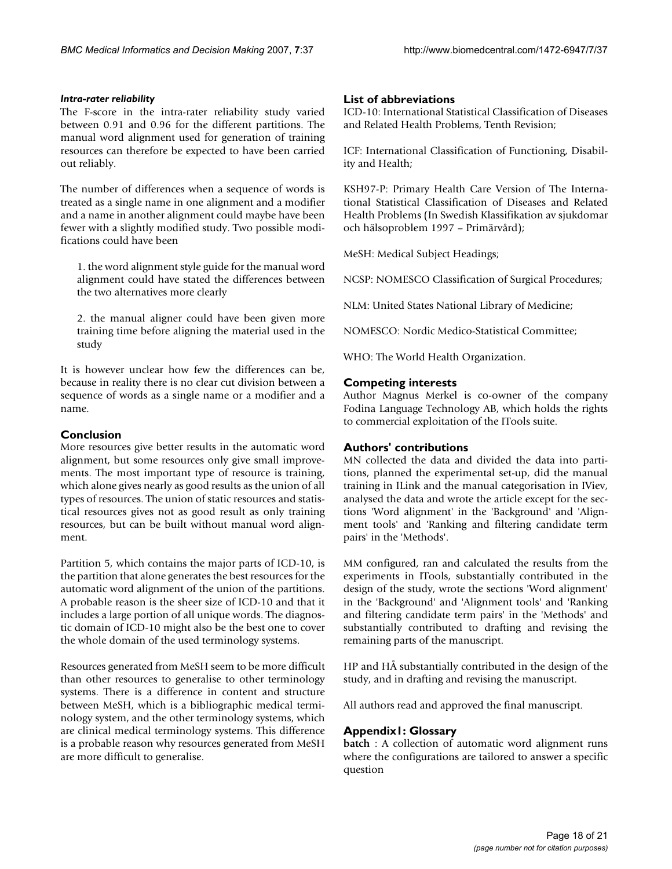### *Intra-rater reliability*

The F-score in the intra-rater reliability study varied between 0.91 and 0.96 for the different partitions. The manual word alignment used for generation of training resources can therefore be expected to have been carried out reliably.

The number of differences when a sequence of words is treated as a single name in one alignment and a modifier and a name in another alignment could maybe have been fewer with a slightly modified study. Two possible modifications could have been

1. the word alignment style guide for the manual word alignment could have stated the differences between the two alternatives more clearly

2. the manual aligner could have been given more training time before aligning the material used in the study

It is however unclear how few the differences can be, because in reality there is no clear cut division between a sequence of words as a single name or a modifier and a name.

### **Conclusion**

More resources give better results in the automatic word alignment, but some resources only give small improvements. The most important type of resource is training, which alone gives nearly as good results as the union of all types of resources. The union of static resources and statistical resources gives not as good result as only training resources, but can be built without manual word alignment.

Partition 5, which contains the major parts of ICD-10, is the partition that alone generates the best resources for the automatic word alignment of the union of the partitions. A probable reason is the sheer size of ICD-10 and that it includes a large portion of all unique words. The diagnostic domain of ICD-10 might also be the best one to cover the whole domain of the used terminology systems.

Resources generated from MeSH seem to be more difficult than other resources to generalise to other terminology systems. There is a difference in content and structure between MeSH, which is a bibliographic medical terminology system, and the other terminology systems, which are clinical medical terminology systems. This difference is a probable reason why resources generated from MeSH are more difficult to generalise.

### **List of abbreviations**

ICD-10: International Statistical Classification of Diseases and Related Health Problems, Tenth Revision;

ICF: International Classification of Functioning, Disability and Health;

KSH97-P: Primary Health Care Version of The International Statistical Classification of Diseases and Related Health Problems (In Swedish Klassifikation av sjukdomar och hälsoproblem 1997 – Primärvård);

MeSH: Medical Subject Headings;

NCSP: NOMESCO Classification of Surgical Procedures;

NLM: United States National Library of Medicine;

NOMESCO: Nordic Medico-Statistical Committee;

WHO: The World Health Organization.

### **Competing interests**

Author Magnus Merkel is co-owner of the company Fodina Language Technology AB, which holds the rights to commercial exploitation of the ITools suite.

### **Authors' contributions**

MN collected the data and divided the data into partitions, planned the experimental set-up, did the manual training in ILink and the manual categorisation in IViev, analysed the data and wrote the article except for the sections 'Word alignment' in the 'Background' and 'Alignment tools' and 'Ranking and filtering candidate term pairs' in the 'Methods'.

MM configured, ran and calculated the results from the experiments in ITools, substantially contributed in the design of the study, wrote the sections 'Word alignment' in the 'Background' and 'Alignment tools' and 'Ranking and filtering candidate term pairs' in the 'Methods' and substantially contributed to drafting and revising the remaining parts of the manuscript.

HP and HÅ substantially contributed in the design of the study, and in drafting and revising the manuscript.

All authors read and approved the final manuscript.

### **Appendix1: Glossary**

**batch** : A collection of automatic word alignment runs where the configurations are tailored to answer a specific question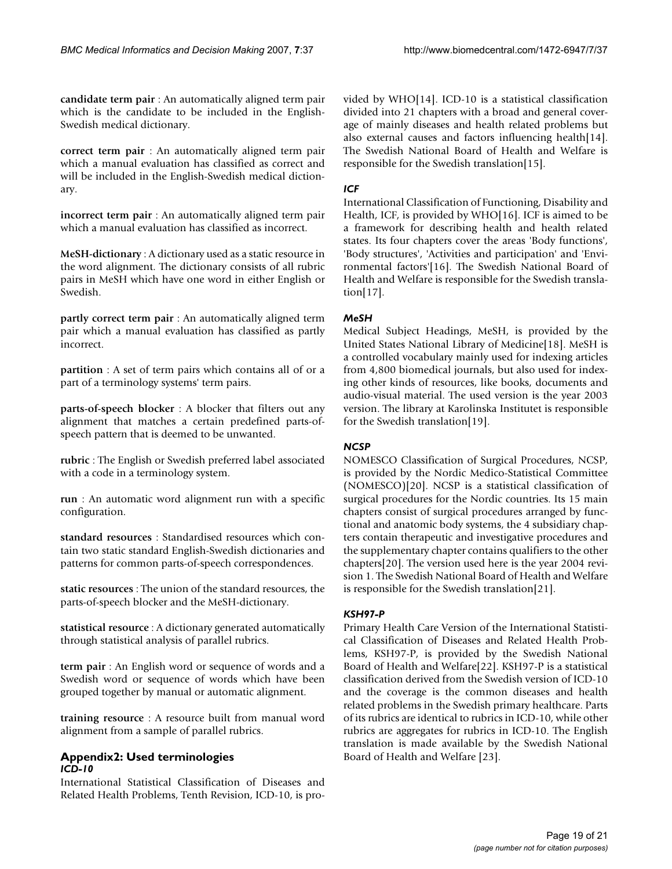**candidate term pair** : An automatically aligned term pair which is the candidate to be included in the English-Swedish medical dictionary.

**correct term pair** : An automatically aligned term pair which a manual evaluation has classified as correct and will be included in the English-Swedish medical dictionary.

**incorrect term pair** : An automatically aligned term pair which a manual evaluation has classified as incorrect.

**MeSH-dictionary** : A dictionary used as a static resource in the word alignment. The dictionary consists of all rubric pairs in MeSH which have one word in either English or Swedish.

**partly correct term pair** : An automatically aligned term pair which a manual evaluation has classified as partly incorrect.

**partition** : A set of term pairs which contains all of or a part of a terminology systems' term pairs.

**parts-of-speech blocker** : A blocker that filters out any alignment that matches a certain predefined parts-ofspeech pattern that is deemed to be unwanted.

**rubric** : The English or Swedish preferred label associated with a code in a terminology system.

**run** : An automatic word alignment run with a specific configuration.

**standard resources** : Standardised resources which contain two static standard English-Swedish dictionaries and patterns for common parts-of-speech correspondences.

**static resources** : The union of the standard resources, the parts-of-speech blocker and the MeSH-dictionary.

**statistical resource** : A dictionary generated automatically through statistical analysis of parallel rubrics.

**term pair** : An English word or sequence of words and a Swedish word or sequence of words which have been grouped together by manual or automatic alignment.

**training resource** : A resource built from manual word alignment from a sample of parallel rubrics.

### **Appendix2: Used terminologies** *ICD-10*

International Statistical Classification of Diseases and Related Health Problems, Tenth Revision, ICD-10, is provided by WHO[14]. ICD-10 is a statistical classification divided into 21 chapters with a broad and general coverage of mainly diseases and health related problems but also external causes and factors influencing health[14]. The Swedish National Board of Health and Welfare is responsible for the Swedish translation[15].

### *ICF*

International Classification of Functioning, Disability and Health, ICF, is provided by WHO[16]. ICF is aimed to be a framework for describing health and health related states. Its four chapters cover the areas 'Body functions', 'Body structures', 'Activities and participation' and 'Environmental factors'[16]. The Swedish National Board of Health and Welfare is responsible for the Swedish translation[17].

### *MeSH*

Medical Subject Headings, MeSH, is provided by the United States National Library of Medicine[18]. MeSH is a controlled vocabulary mainly used for indexing articles from 4,800 biomedical journals, but also used for indexing other kinds of resources, like books, documents and audio-visual material. The used version is the year 2003 version. The library at Karolinska Institutet is responsible for the Swedish translation[19].

### *NCSP*

NOMESCO Classification of Surgical Procedures, NCSP, is provided by the Nordic Medico-Statistical Committee (NOMESCO)[20]. NCSP is a statistical classification of surgical procedures for the Nordic countries. Its 15 main chapters consist of surgical procedures arranged by functional and anatomic body systems, the 4 subsidiary chapters contain therapeutic and investigative procedures and the supplementary chapter contains qualifiers to the other chapters[20]. The version used here is the year 2004 revision 1. The Swedish National Board of Health and Welfare is responsible for the Swedish translation[21].

### *KSH97-P*

Primary Health Care Version of the International Statistical Classification of Diseases and Related Health Problems, KSH97-P, is provided by the Swedish National Board of Health and Welfare[22]. KSH97-P is a statistical classification derived from the Swedish version of ICD-10 and the coverage is the common diseases and health related problems in the Swedish primary healthcare. Parts of its rubrics are identical to rubrics in ICD-10, while other rubrics are aggregates for rubrics in ICD-10. The English translation is made available by the Swedish National Board of Health and Welfare [23].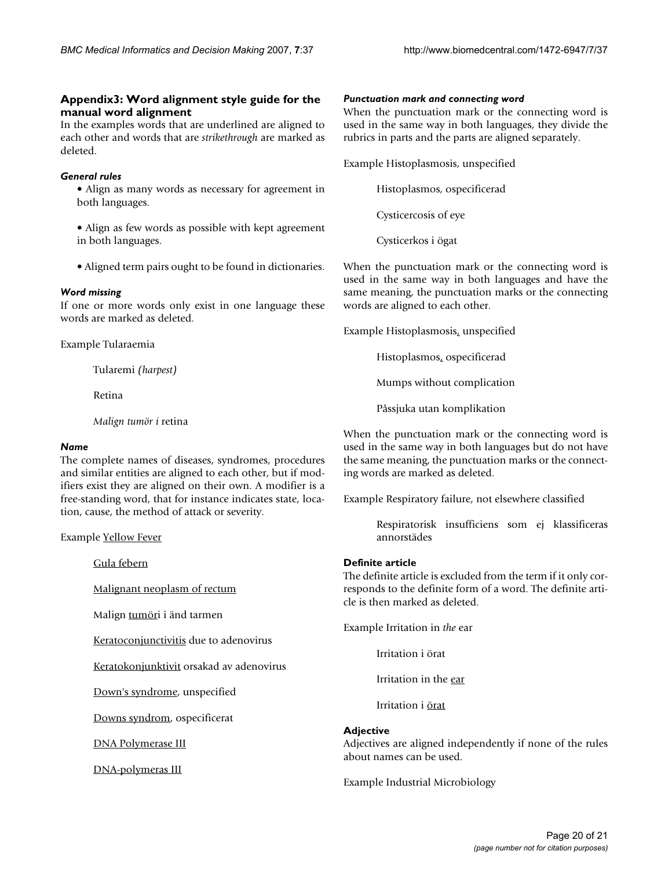### **Appendix3: Word alignment style guide for the manual word alignment**

In the examples words that are underlined are aligned to each other and words that are *strikethrough* are marked as deleted.

### *General rules*

- Align as many words as necessary for agreement in both languages.
- Align as few words as possible with kept agreement in both languages.
- Aligned term pairs ought to be found in dictionaries.

### *Word missing*

If one or more words only exist in one language these words are marked as deleted.

Example Tularaemia

Tularemi *(harpest)*

Retina

*Malign tumör i* retina

### *Name*

The complete names of diseases, syndromes, procedures and similar entities are aligned to each other, but if modifiers exist they are aligned on their own. A modifier is a free-standing word, that for instance indicates state, location, cause, the method of attack or severity.

Example Yellow Fever

Gula febern

Malignant neoplasm of rectum

Malign tumöri i änd tarmen

Keratoconjunctivitis due to adenovirus

Keratokonjunktivit orsakad av adenovirus

Down's syndrome, unspecified

Downs syndrom, ospecificerat

DNA Polymerase III

DNA-polymeras III

### *Punctuation mark and connecting word*

When the punctuation mark or the connecting word is used in the same way in both languages, they divide the rubrics in parts and the parts are aligned separately.

Example Histoplasmosis, unspecified

Histoplasmos, ospecificerad

Cysticercosis of eye

Cysticerkos i ögat

When the punctuation mark or the connecting word is used in the same way in both languages and have the same meaning, the punctuation marks or the connecting words are aligned to each other.

Example Histoplasmosis, unspecified

Histoplasmos, ospecificerad

Mumps without complication

Påssjuka utan komplikation

When the punctuation mark or the connecting word is used in the same way in both languages but do not have the same meaning, the punctuation marks or the connecting words are marked as deleted.

Example Respiratory failure, not elsewhere classified

Respiratorisk insufficiens som ej klassificeras annorstädes

### **Definite article**

The definite article is excluded from the term if it only corresponds to the definite form of a word. The definite article is then marked as deleted.

Example Irritation in *the* ear

Irritation i örat

Irritation in the ear

Irritation i örat

### **Adjective**

Adjectives are aligned independently if none of the rules about names can be used.

Example Industrial Microbiology